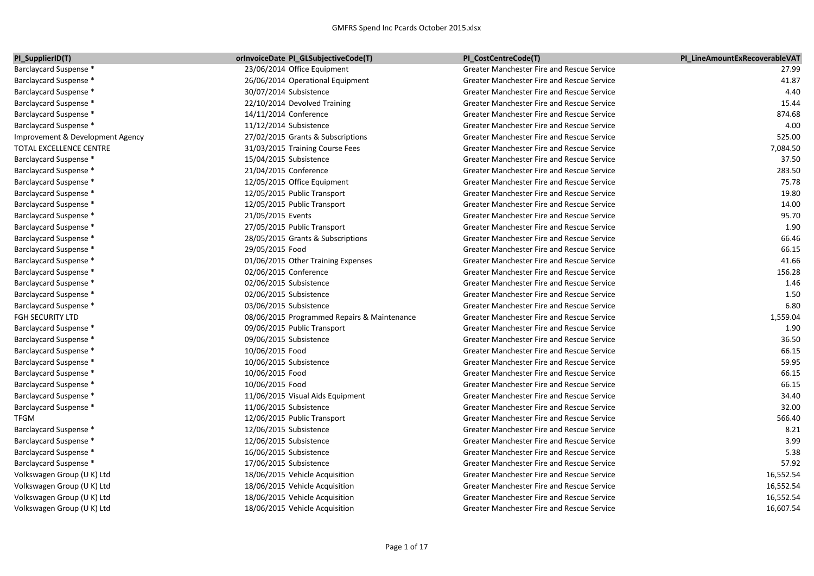| PI_SupplierID(T)                 | orInvoiceDate PI_GLSubjectiveCode(T)        | PI CostCentreCode(T)                              | PI LineAmountExRecoverableVAT |
|----------------------------------|---------------------------------------------|---------------------------------------------------|-------------------------------|
| Barclaycard Suspense *           | 23/06/2014 Office Equipment                 | Greater Manchester Fire and Rescue Service        | 27.99                         |
| Barclaycard Suspense *           | 26/06/2014 Operational Equipment            | <b>Greater Manchester Fire and Rescue Service</b> | 41.87                         |
| <b>Barclaycard Suspense *</b>    | 30/07/2014 Subsistence                      | Greater Manchester Fire and Rescue Service        | 4.40                          |
| Barclaycard Suspense *           | 22/10/2014 Devolved Training                | Greater Manchester Fire and Rescue Service        | 15.44                         |
| Barclaycard Suspense *           | 14/11/2014 Conference                       | Greater Manchester Fire and Rescue Service        | 874.68                        |
| Barclaycard Suspense *           | 11/12/2014 Subsistence                      | Greater Manchester Fire and Rescue Service        | 4.00                          |
| Improvement & Development Agency | 27/02/2015 Grants & Subscriptions           | Greater Manchester Fire and Rescue Service        | 525.00                        |
| TOTAL EXCELLENCE CENTRE          | 31/03/2015 Training Course Fees             | <b>Greater Manchester Fire and Rescue Service</b> | 7,084.50                      |
| Barclaycard Suspense *           | 15/04/2015 Subsistence                      | Greater Manchester Fire and Rescue Service        | 37.50                         |
| Barclaycard Suspense *           | 21/04/2015 Conference                       | Greater Manchester Fire and Rescue Service        | 283.50                        |
| Barclaycard Suspense *           | 12/05/2015 Office Equipment                 | <b>Greater Manchester Fire and Rescue Service</b> | 75.78                         |
| Barclaycard Suspense *           | 12/05/2015 Public Transport                 | <b>Greater Manchester Fire and Rescue Service</b> | 19.80                         |
| Barclaycard Suspense *           | 12/05/2015 Public Transport                 | Greater Manchester Fire and Rescue Service        | 14.00                         |
| Barclaycard Suspense *           | 21/05/2015 Events                           | Greater Manchester Fire and Rescue Service        | 95.70                         |
| Barclaycard Suspense *           | 27/05/2015 Public Transport                 | Greater Manchester Fire and Rescue Service        | 1.90                          |
| Barclaycard Suspense *           | 28/05/2015 Grants & Subscriptions           | Greater Manchester Fire and Rescue Service        | 66.46                         |
| Barclaycard Suspense *           | 29/05/2015 Food                             | <b>Greater Manchester Fire and Rescue Service</b> | 66.15                         |
| Barclaycard Suspense *           | 01/06/2015 Other Training Expenses          | Greater Manchester Fire and Rescue Service        | 41.66                         |
| Barclaycard Suspense *           | 02/06/2015 Conference                       | Greater Manchester Fire and Rescue Service        | 156.28                        |
| Barclaycard Suspense *           | 02/06/2015 Subsistence                      | <b>Greater Manchester Fire and Rescue Service</b> | 1.46                          |
| Barclaycard Suspense *           | 02/06/2015 Subsistence                      | <b>Greater Manchester Fire and Rescue Service</b> | 1.50                          |
| Barclaycard Suspense *           | 03/06/2015 Subsistence                      | Greater Manchester Fire and Rescue Service        | 6.80                          |
| FGH SECURITY LTD                 | 08/06/2015 Programmed Repairs & Maintenance | Greater Manchester Fire and Rescue Service        | 1,559.04                      |
| Barclaycard Suspense *           | 09/06/2015 Public Transport                 | <b>Greater Manchester Fire and Rescue Service</b> | 1.90                          |
| Barclaycard Suspense *           | 09/06/2015 Subsistence                      | Greater Manchester Fire and Rescue Service        | 36.50                         |
| Barclaycard Suspense *           | 10/06/2015 Food                             | Greater Manchester Fire and Rescue Service        | 66.15                         |
| Barclaycard Suspense *           | 10/06/2015 Subsistence                      | Greater Manchester Fire and Rescue Service        | 59.95                         |
| Barclaycard Suspense *           | 10/06/2015 Food                             | Greater Manchester Fire and Rescue Service        | 66.15                         |
| Barclaycard Suspense *           | 10/06/2015 Food                             | <b>Greater Manchester Fire and Rescue Service</b> | 66.15                         |
| Barclaycard Suspense *           | 11/06/2015 Visual Aids Equipment            | <b>Greater Manchester Fire and Rescue Service</b> | 34.40                         |
| Barclaycard Suspense *           | 11/06/2015 Subsistence                      | Greater Manchester Fire and Rescue Service        | 32.00                         |
| TFGM                             | 12/06/2015 Public Transport                 | Greater Manchester Fire and Rescue Service        | 566.40                        |
| Barclaycard Suspense *           | 12/06/2015 Subsistence                      | Greater Manchester Fire and Rescue Service        | 8.21                          |
| Barclaycard Suspense *           | 12/06/2015 Subsistence                      | Greater Manchester Fire and Rescue Service        | 3.99                          |
| Barclaycard Suspense *           | 16/06/2015 Subsistence                      | Greater Manchester Fire and Rescue Service        | 5.38                          |
| Barclaycard Suspense *           | 17/06/2015 Subsistence                      | Greater Manchester Fire and Rescue Service        | 57.92                         |
| Volkswagen Group (U K) Ltd       | 18/06/2015 Vehicle Acquisition              | Greater Manchester Fire and Rescue Service        | 16,552.54                     |
| Volkswagen Group (U K) Ltd       | 18/06/2015 Vehicle Acquisition              | Greater Manchester Fire and Rescue Service        | 16,552.54                     |
| Volkswagen Group (U K) Ltd       | 18/06/2015 Vehicle Acquisition              | <b>Greater Manchester Fire and Rescue Service</b> | 16,552.54                     |
| Volkswagen Group (U K) Ltd       | 18/06/2015 Vehicle Acquisition              | Greater Manchester Fire and Rescue Service        | 16,607.54                     |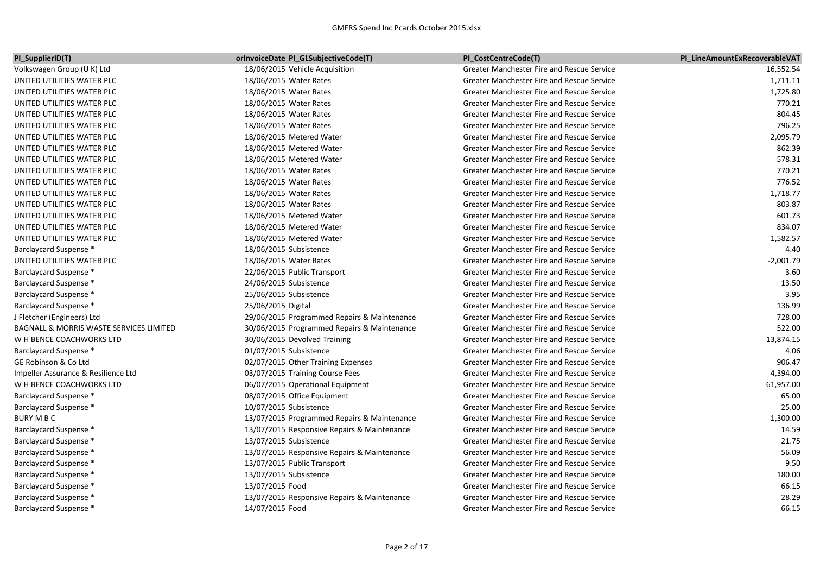| PI_SupplierID(T)                        | <b>orInvoiceDate PI_GLSubjectiveCode(T)</b> | PI CostCentreCode(T)                              | PI LineAmountExRecoverableVAT |
|-----------------------------------------|---------------------------------------------|---------------------------------------------------|-------------------------------|
| Volkswagen Group (U K) Ltd              | 18/06/2015 Vehicle Acquisition              | Greater Manchester Fire and Rescue Service        | 16,552.54                     |
| UNITED UTILITIES WATER PLC              | 18/06/2015 Water Rates                      | Greater Manchester Fire and Rescue Service        | 1,711.11                      |
| UNITED UTILITIES WATER PLC              | 18/06/2015 Water Rates                      | Greater Manchester Fire and Rescue Service        | 1,725.80                      |
| UNITED UTILITIES WATER PLC              | 18/06/2015 Water Rates                      | <b>Greater Manchester Fire and Rescue Service</b> | 770.21                        |
| UNITED UTILITIES WATER PLC              | 18/06/2015 Water Rates                      | Greater Manchester Fire and Rescue Service        | 804.45                        |
| UNITED UTILITIES WATER PLC              | 18/06/2015 Water Rates                      | Greater Manchester Fire and Rescue Service        | 796.25                        |
| UNITED UTILITIES WATER PLC              | 18/06/2015 Metered Water                    | Greater Manchester Fire and Rescue Service        | 2,095.79                      |
| UNITED UTILITIES WATER PLC              | 18/06/2015 Metered Water                    | Greater Manchester Fire and Rescue Service        | 862.39                        |
| UNITED UTILITIES WATER PLC              | 18/06/2015 Metered Water                    | Greater Manchester Fire and Rescue Service        | 578.31                        |
| UNITED UTILITIES WATER PLC              | 18/06/2015 Water Rates                      | Greater Manchester Fire and Rescue Service        | 770.21                        |
| UNITED UTILITIES WATER PLC              | 18/06/2015 Water Rates                      | <b>Greater Manchester Fire and Rescue Service</b> | 776.52                        |
| UNITED UTILITIES WATER PLC              | 18/06/2015 Water Rates                      | <b>Greater Manchester Fire and Rescue Service</b> | 1,718.77                      |
| UNITED UTILITIES WATER PLC              | 18/06/2015 Water Rates                      | Greater Manchester Fire and Rescue Service        | 803.87                        |
| UNITED UTILITIES WATER PLC              | 18/06/2015 Metered Water                    | <b>Greater Manchester Fire and Rescue Service</b> | 601.73                        |
| UNITED UTILITIES WATER PLC              | 18/06/2015 Metered Water                    | <b>Greater Manchester Fire and Rescue Service</b> | 834.07                        |
| UNITED UTILITIES WATER PLC              | 18/06/2015 Metered Water                    | Greater Manchester Fire and Rescue Service        | 1,582.57                      |
| Barclaycard Suspense *                  | 18/06/2015 Subsistence                      | Greater Manchester Fire and Rescue Service        | 4.40                          |
| UNITED UTILITIES WATER PLC              | 18/06/2015 Water Rates                      | Greater Manchester Fire and Rescue Service        | $-2,001.79$                   |
| Barclaycard Suspense *                  | 22/06/2015 Public Transport                 | Greater Manchester Fire and Rescue Service        | 3.60                          |
| Barclaycard Suspense *                  | 24/06/2015 Subsistence                      | Greater Manchester Fire and Rescue Service        | 13.50                         |
| Barclaycard Suspense *                  | 25/06/2015 Subsistence                      | <b>Greater Manchester Fire and Rescue Service</b> | 3.95                          |
| Barclaycard Suspense *                  | 25/06/2015 Digital                          | <b>Greater Manchester Fire and Rescue Service</b> | 136.99                        |
| J Fletcher (Engineers) Ltd              | 29/06/2015 Programmed Repairs & Maintenance | <b>Greater Manchester Fire and Rescue Service</b> | 728.00                        |
| BAGNALL & MORRIS WASTE SERVICES LIMITED | 30/06/2015 Programmed Repairs & Maintenance | <b>Greater Manchester Fire and Rescue Service</b> | 522.00                        |
| W H BENCE COACHWORKS LTD                | 30/06/2015 Devolved Training                | Greater Manchester Fire and Rescue Service        | 13,874.15                     |
| Barclaycard Suspense *                  | 01/07/2015 Subsistence                      | <b>Greater Manchester Fire and Rescue Service</b> | 4.06                          |
| GE Robinson & Co Ltd                    | 02/07/2015 Other Training Expenses          | <b>Greater Manchester Fire and Rescue Service</b> | 906.47                        |
| Impeller Assurance & Resilience Ltd     | 03/07/2015 Training Course Fees             | <b>Greater Manchester Fire and Rescue Service</b> | 4,394.00                      |
| W H BENCE COACHWORKS LTD                | 06/07/2015 Operational Equipment            | <b>Greater Manchester Fire and Rescue Service</b> | 61,957.00                     |
| Barclaycard Suspense *                  | 08/07/2015 Office Equipment                 | <b>Greater Manchester Fire and Rescue Service</b> | 65.00                         |
| Barclaycard Suspense *                  | 10/07/2015 Subsistence                      | <b>Greater Manchester Fire and Rescue Service</b> | 25.00                         |
| BURY M B C                              | 13/07/2015 Programmed Repairs & Maintenance | Greater Manchester Fire and Rescue Service        | 1,300.00                      |
| Barclaycard Suspense *                  | 13/07/2015 Responsive Repairs & Maintenance | <b>Greater Manchester Fire and Rescue Service</b> | 14.59                         |
| Barclaycard Suspense *                  | 13/07/2015 Subsistence                      | <b>Greater Manchester Fire and Rescue Service</b> | 21.75                         |
| Barclaycard Suspense *                  | 13/07/2015 Responsive Repairs & Maintenance | Greater Manchester Fire and Rescue Service        | 56.09                         |
| Barclaycard Suspense *                  | 13/07/2015 Public Transport                 | Greater Manchester Fire and Rescue Service        | 9.50                          |
| Barclaycard Suspense *                  | 13/07/2015 Subsistence                      | <b>Greater Manchester Fire and Rescue Service</b> | 180.00                        |
| Barclaycard Suspense *                  | 13/07/2015 Food                             | Greater Manchester Fire and Rescue Service        | 66.15                         |
| Barclaycard Suspense *                  | 13/07/2015 Responsive Repairs & Maintenance | Greater Manchester Fire and Rescue Service        | 28.29                         |
| Barclaycard Suspense *                  | 14/07/2015 Food                             | Greater Manchester Fire and Rescue Service        | 66.15                         |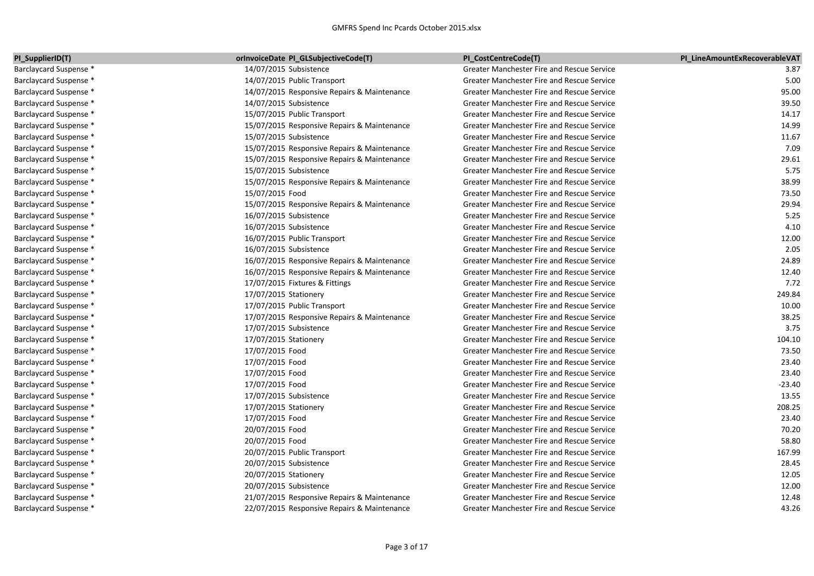| PI_SupplierID(T)       | orInvoiceDate PI_GLSubjectiveCode(T)        | PI CostCentreCode(T)                              | PI LineAmountExRecoverableVAT |
|------------------------|---------------------------------------------|---------------------------------------------------|-------------------------------|
| Barclaycard Suspense * | 14/07/2015 Subsistence                      | Greater Manchester Fire and Rescue Service        | 3.87                          |
| Barclaycard Suspense * | 14/07/2015 Public Transport                 | Greater Manchester Fire and Rescue Service        | 5.00                          |
| Barclaycard Suspense * | 14/07/2015 Responsive Repairs & Maintenance | Greater Manchester Fire and Rescue Service        | 95.00                         |
| Barclaycard Suspense * | 14/07/2015 Subsistence                      | Greater Manchester Fire and Rescue Service        | 39.50                         |
| Barclaycard Suspense * | 15/07/2015 Public Transport                 | Greater Manchester Fire and Rescue Service        | 14.17                         |
| Barclaycard Suspense * | 15/07/2015 Responsive Repairs & Maintenance | Greater Manchester Fire and Rescue Service        | 14.99                         |
| Barclaycard Suspense * | 15/07/2015 Subsistence                      | <b>Greater Manchester Fire and Rescue Service</b> | 11.67                         |
| Barclaycard Suspense * | 15/07/2015 Responsive Repairs & Maintenance | Greater Manchester Fire and Rescue Service        | 7.09                          |
| Barclaycard Suspense * | 15/07/2015 Responsive Repairs & Maintenance | Greater Manchester Fire and Rescue Service        | 29.61                         |
| Barclaycard Suspense * | 15/07/2015 Subsistence                      | <b>Greater Manchester Fire and Rescue Service</b> | 5.75                          |
| Barclaycard Suspense * | 15/07/2015 Responsive Repairs & Maintenance | <b>Greater Manchester Fire and Rescue Service</b> | 38.99                         |
| Barclaycard Suspense * | 15/07/2015 Food                             | <b>Greater Manchester Fire and Rescue Service</b> | 73.50                         |
| Barclaycard Suspense * | 15/07/2015 Responsive Repairs & Maintenance | Greater Manchester Fire and Rescue Service        | 29.94                         |
| Barclaycard Suspense * | 16/07/2015 Subsistence                      | Greater Manchester Fire and Rescue Service        | 5.25                          |
| Barclaycard Suspense * | 16/07/2015 Subsistence                      | <b>Greater Manchester Fire and Rescue Service</b> | 4.10                          |
| Barclaycard Suspense * | 16/07/2015 Public Transport                 | <b>Greater Manchester Fire and Rescue Service</b> | 12.00                         |
| Barclaycard Suspense * | 16/07/2015 Subsistence                      | Greater Manchester Fire and Rescue Service        | 2.05                          |
| Barclaycard Suspense * | 16/07/2015 Responsive Repairs & Maintenance | Greater Manchester Fire and Rescue Service        | 24.89                         |
| Barclaycard Suspense * | 16/07/2015 Responsive Repairs & Maintenance | <b>Greater Manchester Fire and Rescue Service</b> | 12.40                         |
| Barclaycard Suspense * | 17/07/2015 Fixtures & Fittings              | <b>Greater Manchester Fire and Rescue Service</b> | 7.72                          |
| Barclaycard Suspense * | 17/07/2015 Stationery                       | Greater Manchester Fire and Rescue Service        | 249.84                        |
| Barclaycard Suspense * | 17/07/2015 Public Transport                 | <b>Greater Manchester Fire and Rescue Service</b> | 10.00                         |
| Barclaycard Suspense * | 17/07/2015 Responsive Repairs & Maintenance | Greater Manchester Fire and Rescue Service        | 38.25                         |
| Barclaycard Suspense * | 17/07/2015 Subsistence                      | <b>Greater Manchester Fire and Rescue Service</b> | 3.75                          |
| Barclaycard Suspense * | 17/07/2015 Stationery                       | <b>Greater Manchester Fire and Rescue Service</b> | 104.10                        |
| Barclaycard Suspense * | 17/07/2015 Food                             | Greater Manchester Fire and Rescue Service        | 73.50                         |
| Barclaycard Suspense * | 17/07/2015 Food                             | Greater Manchester Fire and Rescue Service        | 23.40                         |
| Barclaycard Suspense * | 17/07/2015 Food                             | Greater Manchester Fire and Rescue Service        | 23.40                         |
| Barclaycard Suspense * | 17/07/2015 Food                             | <b>Greater Manchester Fire and Rescue Service</b> | $-23.40$                      |
| Barclaycard Suspense * | 17/07/2015 Subsistence                      | Greater Manchester Fire and Rescue Service        | 13.55                         |
| Barclaycard Suspense * | 17/07/2015 Stationery                       | <b>Greater Manchester Fire and Rescue Service</b> | 208.25                        |
| Barclaycard Suspense * | 17/07/2015 Food                             | Greater Manchester Fire and Rescue Service        | 23.40                         |
| Barclaycard Suspense * | 20/07/2015 Food                             | Greater Manchester Fire and Rescue Service        | 70.20                         |
| Barclaycard Suspense * | 20/07/2015 Food                             | <b>Greater Manchester Fire and Rescue Service</b> | 58.80                         |
| Barclaycard Suspense * | 20/07/2015 Public Transport                 | Greater Manchester Fire and Rescue Service        | 167.99                        |
| Barclaycard Suspense * | 20/07/2015 Subsistence                      | Greater Manchester Fire and Rescue Service        | 28.45                         |
| Barclaycard Suspense * | 20/07/2015 Stationery                       | Greater Manchester Fire and Rescue Service        | 12.05                         |
| Barclaycard Suspense * | 20/07/2015 Subsistence                      | Greater Manchester Fire and Rescue Service        | 12.00                         |
| Barclaycard Suspense * | 21/07/2015 Responsive Repairs & Maintenance | Greater Manchester Fire and Rescue Service        | 12.48                         |
| Barclaycard Suspense * | 22/07/2015 Responsive Repairs & Maintenance | Greater Manchester Fire and Rescue Service        | 43.26                         |
|                        |                                             |                                                   |                               |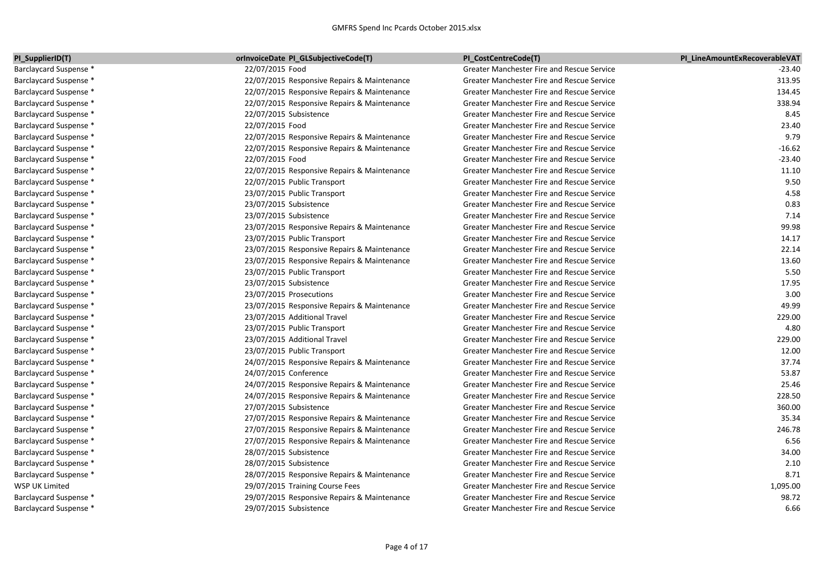| PI SupplierID(T)              | orInvoiceDate PI GLSubjectiveCode(T)        | PI CostCentreCode(T)                              | PI LineAmountExRecoverableVAT |
|-------------------------------|---------------------------------------------|---------------------------------------------------|-------------------------------|
| <b>Barclaycard Suspense *</b> | 22/07/2015 Food                             | <b>Greater Manchester Fire and Rescue Service</b> | $-23.40$                      |
| Barclaycard Suspense *        | 22/07/2015 Responsive Repairs & Maintenance | <b>Greater Manchester Fire and Rescue Service</b> | 313.95                        |
| <b>Barclaycard Suspense *</b> | 22/07/2015 Responsive Repairs & Maintenance | Greater Manchester Fire and Rescue Service        | 134.45                        |
| <b>Barclaycard Suspense *</b> | 22/07/2015 Responsive Repairs & Maintenance | Greater Manchester Fire and Rescue Service        | 338.94                        |
| Barclaycard Suspense *        | 22/07/2015 Subsistence                      | Greater Manchester Fire and Rescue Service        | 8.45                          |
| Barclaycard Suspense *        | 22/07/2015 Food                             | <b>Greater Manchester Fire and Rescue Service</b> | 23.40                         |
| Barclaycard Suspense *        | 22/07/2015 Responsive Repairs & Maintenance | Greater Manchester Fire and Rescue Service        | 9.79                          |
| Barclaycard Suspense *        | 22/07/2015 Responsive Repairs & Maintenance | Greater Manchester Fire and Rescue Service        | $-16.62$                      |
| Barclaycard Suspense *        | 22/07/2015 Food                             | <b>Greater Manchester Fire and Rescue Service</b> | $-23.40$                      |
| <b>Barclaycard Suspense *</b> | 22/07/2015 Responsive Repairs & Maintenance | <b>Greater Manchester Fire and Rescue Service</b> | 11.10                         |
| Barclaycard Suspense *        | 22/07/2015 Public Transport                 | <b>Greater Manchester Fire and Rescue Service</b> | 9.50                          |
| Barclaycard Suspense *        | 23/07/2015 Public Transport                 | Greater Manchester Fire and Rescue Service        | 4.58                          |
| Barclaycard Suspense *        | 23/07/2015 Subsistence                      | Greater Manchester Fire and Rescue Service        | 0.83                          |
| Barclaycard Suspense *        | 23/07/2015 Subsistence                      | Greater Manchester Fire and Rescue Service        | 7.14                          |
| Barclaycard Suspense *        | 23/07/2015 Responsive Repairs & Maintenance | Greater Manchester Fire and Rescue Service        | 99.98                         |
| Barclaycard Suspense *        | 23/07/2015 Public Transport                 | Greater Manchester Fire and Rescue Service        | 14.17                         |
| <b>Barclaycard Suspense *</b> | 23/07/2015 Responsive Repairs & Maintenance | <b>Greater Manchester Fire and Rescue Service</b> | 22.14                         |
| <b>Barclaycard Suspense *</b> | 23/07/2015 Responsive Repairs & Maintenance | Greater Manchester Fire and Rescue Service        | 13.60                         |
| Barclaycard Suspense *        | 23/07/2015 Public Transport                 | Greater Manchester Fire and Rescue Service        | 5.50                          |
| Barclaycard Suspense *        | 23/07/2015 Subsistence                      | Greater Manchester Fire and Rescue Service        | 17.95                         |
| Barclaycard Suspense *        | 23/07/2015 Prosecutions                     | Greater Manchester Fire and Rescue Service        | 3.00                          |
| Barclaycard Suspense *        | 23/07/2015 Responsive Repairs & Maintenance | <b>Greater Manchester Fire and Rescue Service</b> | 49.99                         |
| Barclaycard Suspense *        | 23/07/2015 Additional Travel                | <b>Greater Manchester Fire and Rescue Service</b> | 229.00                        |
| <b>Barclaycard Suspense *</b> | 23/07/2015 Public Transport                 | <b>Greater Manchester Fire and Rescue Service</b> | 4.80                          |
| Barclaycard Suspense *        | 23/07/2015 Additional Travel                | <b>Greater Manchester Fire and Rescue Service</b> | 229.00                        |
| Barclaycard Suspense *        | 23/07/2015 Public Transport                 | Greater Manchester Fire and Rescue Service        | 12.00                         |
| <b>Barclaycard Suspense *</b> | 24/07/2015 Responsive Repairs & Maintenance | Greater Manchester Fire and Rescue Service        | 37.74                         |
| <b>Barclaycard Suspense *</b> | 24/07/2015 Conference                       | Greater Manchester Fire and Rescue Service        | 53.87                         |
| Barclaycard Suspense *        | 24/07/2015 Responsive Repairs & Maintenance | Greater Manchester Fire and Rescue Service        | 25.46                         |
| Barclaycard Suspense *        | 24/07/2015 Responsive Repairs & Maintenance | Greater Manchester Fire and Rescue Service        | 228.50                        |
| Barclaycard Suspense *        | 27/07/2015 Subsistence                      | Greater Manchester Fire and Rescue Service        | 360.00                        |
| Barclaycard Suspense *        | 27/07/2015 Responsive Repairs & Maintenance | Greater Manchester Fire and Rescue Service        | 35.34                         |
| Barclaycard Suspense *        | 27/07/2015 Responsive Repairs & Maintenance | <b>Greater Manchester Fire and Rescue Service</b> | 246.78                        |
| Barclaycard Suspense *        | 27/07/2015 Responsive Repairs & Maintenance | <b>Greater Manchester Fire and Rescue Service</b> | 6.56                          |
| Barclaycard Suspense *        | 28/07/2015 Subsistence                      | Greater Manchester Fire and Rescue Service        | 34.00                         |
| Barclaycard Suspense *        | 28/07/2015 Subsistence                      | Greater Manchester Fire and Rescue Service        | 2.10                          |
| Barclaycard Suspense *        | 28/07/2015 Responsive Repairs & Maintenance | <b>Greater Manchester Fire and Rescue Service</b> | 8.71                          |
| WSP UK Limited                | 29/07/2015 Training Course Fees             | <b>Greater Manchester Fire and Rescue Service</b> | 1,095.00                      |
| Barclaycard Suspense *        | 29/07/2015 Responsive Repairs & Maintenance | <b>Greater Manchester Fire and Rescue Service</b> | 98.72                         |
| Barclaycard Suspense *        | 29/07/2015 Subsistence                      | <b>Greater Manchester Fire and Rescue Service</b> | 6.66                          |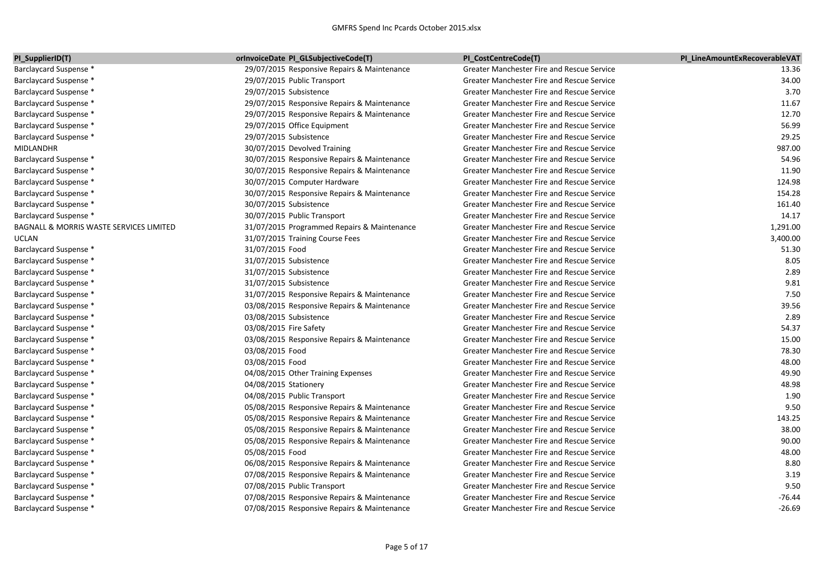| PI_SupplierID(T)                        | orInvoiceDate PI_GLSubjectiveCode(T)        | PI CostCentreCode(T)                              | PI LineAmountExRecoverableVAT |
|-----------------------------------------|---------------------------------------------|---------------------------------------------------|-------------------------------|
| Barclaycard Suspense *                  | 29/07/2015 Responsive Repairs & Maintenance | Greater Manchester Fire and Rescue Service        | 13.36                         |
| Barclaycard Suspense *                  | 29/07/2015 Public Transport                 | Greater Manchester Fire and Rescue Service        | 34.00                         |
| Barclaycard Suspense *                  | 29/07/2015 Subsistence                      | Greater Manchester Fire and Rescue Service        | 3.70                          |
| Barclaycard Suspense *                  | 29/07/2015 Responsive Repairs & Maintenance | Greater Manchester Fire and Rescue Service        | 11.67                         |
| Barclaycard Suspense *                  | 29/07/2015 Responsive Repairs & Maintenance | Greater Manchester Fire and Rescue Service        | 12.70                         |
| Barclaycard Suspense *                  | 29/07/2015 Office Equipment                 | Greater Manchester Fire and Rescue Service        | 56.99                         |
| Barclaycard Suspense *                  | 29/07/2015 Subsistence                      | Greater Manchester Fire and Rescue Service        | 29.25                         |
| <b>MIDLANDHR</b>                        | 30/07/2015 Devolved Training                | Greater Manchester Fire and Rescue Service        | 987.00                        |
| Barclaycard Suspense *                  | 30/07/2015 Responsive Repairs & Maintenance | Greater Manchester Fire and Rescue Service        | 54.96                         |
| Barclaycard Suspense *                  | 30/07/2015 Responsive Repairs & Maintenance | Greater Manchester Fire and Rescue Service        | 11.90                         |
| Barclaycard Suspense *                  | 30/07/2015 Computer Hardware                | Greater Manchester Fire and Rescue Service        | 124.98                        |
| Barclaycard Suspense *                  | 30/07/2015 Responsive Repairs & Maintenance | Greater Manchester Fire and Rescue Service        | 154.28                        |
| Barclaycard Suspense *                  | 30/07/2015 Subsistence                      | Greater Manchester Fire and Rescue Service        | 161.40                        |
| Barclaycard Suspense *                  | 30/07/2015 Public Transport                 | Greater Manchester Fire and Rescue Service        | 14.17                         |
| BAGNALL & MORRIS WASTE SERVICES LIMITED | 31/07/2015 Programmed Repairs & Maintenance | Greater Manchester Fire and Rescue Service        | 1,291.00                      |
| UCLAN                                   | 31/07/2015 Training Course Fees             | Greater Manchester Fire and Rescue Service        | 3,400.00                      |
| Barclaycard Suspense *                  | 31/07/2015 Food                             | Greater Manchester Fire and Rescue Service        | 51.30                         |
| Barclaycard Suspense *                  | 31/07/2015 Subsistence                      | <b>Greater Manchester Fire and Rescue Service</b> | 8.05                          |
| Barclaycard Suspense *                  | 31/07/2015 Subsistence                      | Greater Manchester Fire and Rescue Service        | 2.89                          |
| Barclaycard Suspense *                  | 31/07/2015 Subsistence                      | Greater Manchester Fire and Rescue Service        | 9.81                          |
| Barclaycard Suspense *                  | 31/07/2015 Responsive Repairs & Maintenance | Greater Manchester Fire and Rescue Service        | 7.50                          |
| Barclaycard Suspense *                  | 03/08/2015 Responsive Repairs & Maintenance | Greater Manchester Fire and Rescue Service        | 39.56                         |
| Barclaycard Suspense *                  | 03/08/2015 Subsistence                      | Greater Manchester Fire and Rescue Service        | 2.89                          |
| Barclaycard Suspense *                  | 03/08/2015 Fire Safety                      | Greater Manchester Fire and Rescue Service        | 54.37                         |
| Barclaycard Suspense *                  | 03/08/2015 Responsive Repairs & Maintenance | Greater Manchester Fire and Rescue Service        | 15.00                         |
| Barclaycard Suspense *                  | 03/08/2015 Food                             | <b>Greater Manchester Fire and Rescue Service</b> | 78.30                         |
| Barclaycard Suspense *                  | 03/08/2015 Food                             | Greater Manchester Fire and Rescue Service        | 48.00                         |
| Barclaycard Suspense *                  | 04/08/2015 Other Training Expenses          | Greater Manchester Fire and Rescue Service        | 49.90                         |
| Barclaycard Suspense *                  | 04/08/2015 Stationery                       | Greater Manchester Fire and Rescue Service        | 48.98                         |
| Barclaycard Suspense *                  | 04/08/2015 Public Transport                 | Greater Manchester Fire and Rescue Service        | 1.90                          |
| Barclaycard Suspense *                  | 05/08/2015 Responsive Repairs & Maintenance | Greater Manchester Fire and Rescue Service        | 9.50                          |
| Barclaycard Suspense *                  | 05/08/2015 Responsive Repairs & Maintenance | Greater Manchester Fire and Rescue Service        | 143.25                        |
| Barclaycard Suspense *                  | 05/08/2015 Responsive Repairs & Maintenance | Greater Manchester Fire and Rescue Service        | 38.00                         |
| Barclaycard Suspense *                  | 05/08/2015 Responsive Repairs & Maintenance | Greater Manchester Fire and Rescue Service        | 90.00                         |
| Barclaycard Suspense *                  | 05/08/2015 Food                             | Greater Manchester Fire and Rescue Service        | 48.00                         |
| Barclaycard Suspense *                  | 06/08/2015 Responsive Repairs & Maintenance | Greater Manchester Fire and Rescue Service        | 8.80                          |
| Barclaycard Suspense *                  | 07/08/2015 Responsive Repairs & Maintenance | <b>Greater Manchester Fire and Rescue Service</b> | 3.19                          |
| Barclaycard Suspense *                  | 07/08/2015 Public Transport                 | Greater Manchester Fire and Rescue Service        | 9.50                          |
| Barclaycard Suspense *                  | 07/08/2015 Responsive Repairs & Maintenance | Greater Manchester Fire and Rescue Service        | $-76.44$                      |
| Barclaycard Suspense *                  | 07/08/2015 Responsive Repairs & Maintenance | <b>Greater Manchester Fire and Rescue Service</b> | $-26.69$                      |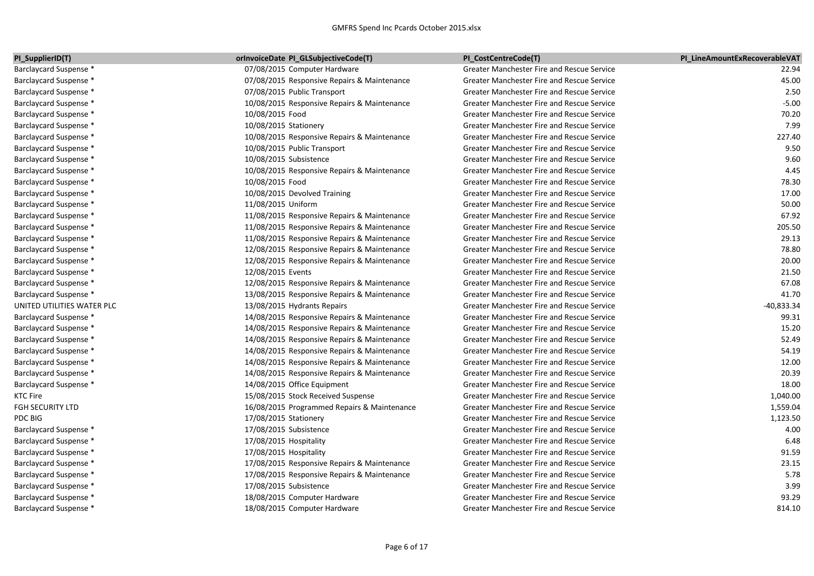| PI_SupplierID(T)              | <b>IorInvoiceDate PI_GLSubjectiveCode(T)</b> | PI CostCentreCode(T)                              | PI LineAmountExRecoverableVAT |
|-------------------------------|----------------------------------------------|---------------------------------------------------|-------------------------------|
| Barclaycard Suspense *        | 07/08/2015 Computer Hardware                 | Greater Manchester Fire and Rescue Service        | 22.94                         |
| Barclaycard Suspense *        | 07/08/2015 Responsive Repairs & Maintenance  | <b>Greater Manchester Fire and Rescue Service</b> | 45.00                         |
| Barclaycard Suspense *        | 07/08/2015 Public Transport                  | <b>Greater Manchester Fire and Rescue Service</b> | 2.50                          |
| <b>Barclaycard Suspense *</b> | 10/08/2015 Responsive Repairs & Maintenance  | <b>Greater Manchester Fire and Rescue Service</b> | $-5.00$                       |
| <b>Barclaycard Suspense *</b> | 10/08/2015 Food                              | Greater Manchester Fire and Rescue Service        | 70.20                         |
| Barclaycard Suspense *        | 10/08/2015 Stationery                        | Greater Manchester Fire and Rescue Service        | 7.99                          |
| Barclaycard Suspense *        | 10/08/2015 Responsive Repairs & Maintenance  | <b>Greater Manchester Fire and Rescue Service</b> | 227.40                        |
| <b>Barclaycard Suspense *</b> | 10/08/2015 Public Transport                  | Greater Manchester Fire and Rescue Service        | 9.50                          |
| Barclaycard Suspense *        | 10/08/2015 Subsistence                       | Greater Manchester Fire and Rescue Service        | 9.60                          |
| Barclaycard Suspense *        | 10/08/2015 Responsive Repairs & Maintenance  | Greater Manchester Fire and Rescue Service        | 4.45                          |
| Barclaycard Suspense *        | 10/08/2015 Food                              | Greater Manchester Fire and Rescue Service        | 78.30                         |
| Barclaycard Suspense *        | 10/08/2015 Devolved Training                 | Greater Manchester Fire and Rescue Service        | 17.00                         |
| Barclaycard Suspense *        | 11/08/2015 Uniform                           | <b>Greater Manchester Fire and Rescue Service</b> | 50.00                         |
| <b>Barclaycard Suspense *</b> | 11/08/2015 Responsive Repairs & Maintenance  | Greater Manchester Fire and Rescue Service        | 67.92                         |
| Barclaycard Suspense *        | 11/08/2015 Responsive Repairs & Maintenance  | Greater Manchester Fire and Rescue Service        | 205.50                        |
| Barclaycard Suspense *        | 11/08/2015 Responsive Repairs & Maintenance  | Greater Manchester Fire and Rescue Service        | 29.13                         |
| Barclaycard Suspense *        | 12/08/2015 Responsive Repairs & Maintenance  | Greater Manchester Fire and Rescue Service        | 78.80                         |
| Barclaycard Suspense *        | 12/08/2015 Responsive Repairs & Maintenance  | Greater Manchester Fire and Rescue Service        | 20.00                         |
| Barclaycard Suspense *        | 12/08/2015 Events                            | <b>Greater Manchester Fire and Rescue Service</b> | 21.50                         |
| Barclaycard Suspense *        | 12/08/2015 Responsive Repairs & Maintenance  | Greater Manchester Fire and Rescue Service        | 67.08                         |
| Barclaycard Suspense *        | 13/08/2015 Responsive Repairs & Maintenance  | Greater Manchester Fire and Rescue Service        | 41.70                         |
| UNITED UTILITIES WATER PLC    | 13/08/2015 Hydrants Repairs                  | <b>Greater Manchester Fire and Rescue Service</b> | -40,833.34                    |
| <b>Barclaycard Suspense *</b> | 14/08/2015 Responsive Repairs & Maintenance  | Greater Manchester Fire and Rescue Service        | 99.31                         |
| Barclaycard Suspense *        | 14/08/2015 Responsive Repairs & Maintenance  | Greater Manchester Fire and Rescue Service        | 15.20                         |
| Barclaycard Suspense *        | 14/08/2015 Responsive Repairs & Maintenance  | Greater Manchester Fire and Rescue Service        | 52.49                         |
| Barclaycard Suspense *        | 14/08/2015 Responsive Repairs & Maintenance  | Greater Manchester Fire and Rescue Service        | 54.19                         |
| Barclaycard Suspense *        | 14/08/2015 Responsive Repairs & Maintenance  | Greater Manchester Fire and Rescue Service        | 12.00                         |
| Barclaycard Suspense *        | 14/08/2015 Responsive Repairs & Maintenance  | Greater Manchester Fire and Rescue Service        | 20.39                         |
| Barclaycard Suspense *        | 14/08/2015 Office Equipment                  | <b>Greater Manchester Fire and Rescue Service</b> | 18.00                         |
| KTC Fire                      | 15/08/2015 Stock Received Suspense           | Greater Manchester Fire and Rescue Service        | 1,040.00                      |
| FGH SECURITY LTD              | 16/08/2015 Programmed Repairs & Maintenance  | Greater Manchester Fire and Rescue Service        | 1,559.04                      |
| PDC BIG                       | 17/08/2015 Stationery                        | Greater Manchester Fire and Rescue Service        | 1,123.50                      |
| Barclaycard Suspense *        | 17/08/2015 Subsistence                       | <b>Greater Manchester Fire and Rescue Service</b> | 4.00                          |
| Barclaycard Suspense *        | 17/08/2015 Hospitality                       | <b>Greater Manchester Fire and Rescue Service</b> | 6.48                          |
| Barclaycard Suspense *        | 17/08/2015 Hospitality                       | <b>Greater Manchester Fire and Rescue Service</b> | 91.59                         |
| Barclaycard Suspense *        | 17/08/2015 Responsive Repairs & Maintenance  | Greater Manchester Fire and Rescue Service        | 23.15                         |
| Barclaycard Suspense *        | 17/08/2015 Responsive Repairs & Maintenance  | Greater Manchester Fire and Rescue Service        | 5.78                          |
| Barclaycard Suspense *        | 17/08/2015 Subsistence                       | <b>Greater Manchester Fire and Rescue Service</b> | 3.99                          |
| Barclaycard Suspense *        | 18/08/2015 Computer Hardware                 | <b>Greater Manchester Fire and Rescue Service</b> | 93.29                         |
| Barclaycard Suspense *        | 18/08/2015 Computer Hardware                 | <b>Greater Manchester Fire and Rescue Service</b> | 814.10                        |
|                               |                                              |                                                   |                               |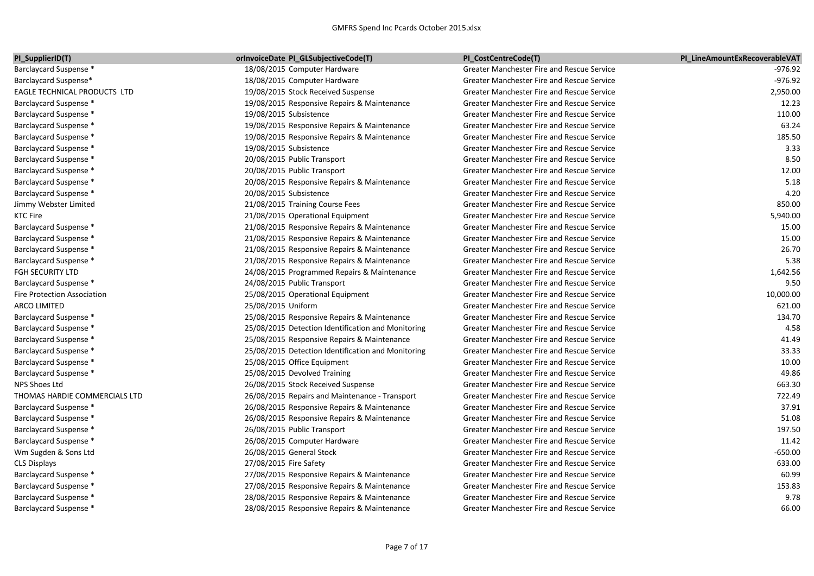| PI SupplierID(T)                   | orInvoiceDate PI GLSubjectiveCode(T)               | PI CostCentreCode(T)                              | PI LineAmountExRecoverableVAT |
|------------------------------------|----------------------------------------------------|---------------------------------------------------|-------------------------------|
| Barclaycard Suspense *             | 18/08/2015 Computer Hardware                       | Greater Manchester Fire and Rescue Service        | -976.92                       |
| Barclaycard Suspense*              | 18/08/2015 Computer Hardware                       | Greater Manchester Fire and Rescue Service        | $-976.92$                     |
| EAGLE TECHNICAL PRODUCTS LTD       | 19/08/2015 Stock Received Suspense                 | Greater Manchester Fire and Rescue Service        | 2,950.00                      |
| Barclaycard Suspense *             | 19/08/2015 Responsive Repairs & Maintenance        | Greater Manchester Fire and Rescue Service        | 12.23                         |
| Barclaycard Suspense *             | 19/08/2015 Subsistence                             | Greater Manchester Fire and Rescue Service        | 110.00                        |
| Barclaycard Suspense *             | 19/08/2015 Responsive Repairs & Maintenance        | <b>Greater Manchester Fire and Rescue Service</b> | 63.24                         |
| Barclaycard Suspense *             | 19/08/2015 Responsive Repairs & Maintenance        | Greater Manchester Fire and Rescue Service        | 185.50                        |
| Barclaycard Suspense *             | 19/08/2015 Subsistence                             | Greater Manchester Fire and Rescue Service        | 3.33                          |
| Barclaycard Suspense *             | 20/08/2015 Public Transport                        | Greater Manchester Fire and Rescue Service        | 8.50                          |
| Barclaycard Suspense *             | 20/08/2015 Public Transport                        | Greater Manchester Fire and Rescue Service        | 12.00                         |
| Barclaycard Suspense *             | 20/08/2015 Responsive Repairs & Maintenance        | Greater Manchester Fire and Rescue Service        | 5.18                          |
| Barclaycard Suspense *             | 20/08/2015 Subsistence                             | Greater Manchester Fire and Rescue Service        | 4.20                          |
| Jimmy Webster Limited              | 21/08/2015 Training Course Fees                    | Greater Manchester Fire and Rescue Service        | 850.00                        |
| <b>KTC Fire</b>                    | 21/08/2015 Operational Equipment                   | Greater Manchester Fire and Rescue Service        | 5,940.00                      |
| Barclaycard Suspense *             | 21/08/2015 Responsive Repairs & Maintenance        | Greater Manchester Fire and Rescue Service        | 15.00                         |
| Barclaycard Suspense *             | 21/08/2015 Responsive Repairs & Maintenance        | <b>Greater Manchester Fire and Rescue Service</b> | 15.00                         |
| Barclaycard Suspense *             | 21/08/2015 Responsive Repairs & Maintenance        | Greater Manchester Fire and Rescue Service        | 26.70                         |
| Barclaycard Suspense *             | 21/08/2015 Responsive Repairs & Maintenance        | Greater Manchester Fire and Rescue Service        | 5.38                          |
| <b>FGH SECURITY LTD</b>            | 24/08/2015 Programmed Repairs & Maintenance        | Greater Manchester Fire and Rescue Service        | 1,642.56                      |
| Barclaycard Suspense *             | 24/08/2015 Public Transport                        | Greater Manchester Fire and Rescue Service        | 9.50                          |
| <b>Fire Protection Association</b> | 25/08/2015 Operational Equipment                   | Greater Manchester Fire and Rescue Service        | 10,000.00                     |
| <b>ARCO LIMITED</b>                | 25/08/2015 Uniform                                 | Greater Manchester Fire and Rescue Service        | 621.00                        |
| Barclaycard Suspense *             | 25/08/2015 Responsive Repairs & Maintenance        | Greater Manchester Fire and Rescue Service        | 134.70                        |
| Barclaycard Suspense *             | 25/08/2015 Detection Identification and Monitoring | Greater Manchester Fire and Rescue Service        | 4.58                          |
| Barclaycard Suspense *             | 25/08/2015 Responsive Repairs & Maintenance        | Greater Manchester Fire and Rescue Service        | 41.49                         |
| Barclaycard Suspense *             | 25/08/2015 Detection Identification and Monitoring | Greater Manchester Fire and Rescue Service        | 33.33                         |
| Barclaycard Suspense *             | 25/08/2015 Office Equipment                        | <b>Greater Manchester Fire and Rescue Service</b> | 10.00                         |
| Barclaycard Suspense *             | 25/08/2015 Devolved Training                       | Greater Manchester Fire and Rescue Service        | 49.86                         |
| NPS Shoes Ltd                      | 26/08/2015 Stock Received Suspense                 | Greater Manchester Fire and Rescue Service        | 663.30                        |
| THOMAS HARDIE COMMERCIALS LTD      | 26/08/2015 Repairs and Maintenance - Transport     | Greater Manchester Fire and Rescue Service        | 722.49                        |
| Barclaycard Suspense *             | 26/08/2015 Responsive Repairs & Maintenance        | Greater Manchester Fire and Rescue Service        | 37.91                         |
| Barclaycard Suspense *             | 26/08/2015 Responsive Repairs & Maintenance        | Greater Manchester Fire and Rescue Service        | 51.08                         |
| Barclaycard Suspense *             | 26/08/2015 Public Transport                        | Greater Manchester Fire and Rescue Service        | 197.50                        |
| Barclaycard Suspense *             | 26/08/2015 Computer Hardware                       | Greater Manchester Fire and Rescue Service        | 11.42                         |
| Wm Sugden & Sons Ltd               | 26/08/2015 General Stock                           | Greater Manchester Fire and Rescue Service        | $-650.00$                     |
| <b>CLS Displays</b>                | 27/08/2015 Fire Safety                             | Greater Manchester Fire and Rescue Service        | 633.00                        |
| Barclaycard Suspense *             | 27/08/2015 Responsive Repairs & Maintenance        | Greater Manchester Fire and Rescue Service        | 60.99                         |
| Barclaycard Suspense *             | 27/08/2015 Responsive Repairs & Maintenance        | Greater Manchester Fire and Rescue Service        | 153.83                        |
| Barclaycard Suspense *             | 28/08/2015 Responsive Repairs & Maintenance        | Greater Manchester Fire and Rescue Service        | 9.78                          |
| Barclaycard Suspense *             | 28/08/2015 Responsive Repairs & Maintenance        | Greater Manchester Fire and Rescue Service        | 66.00                         |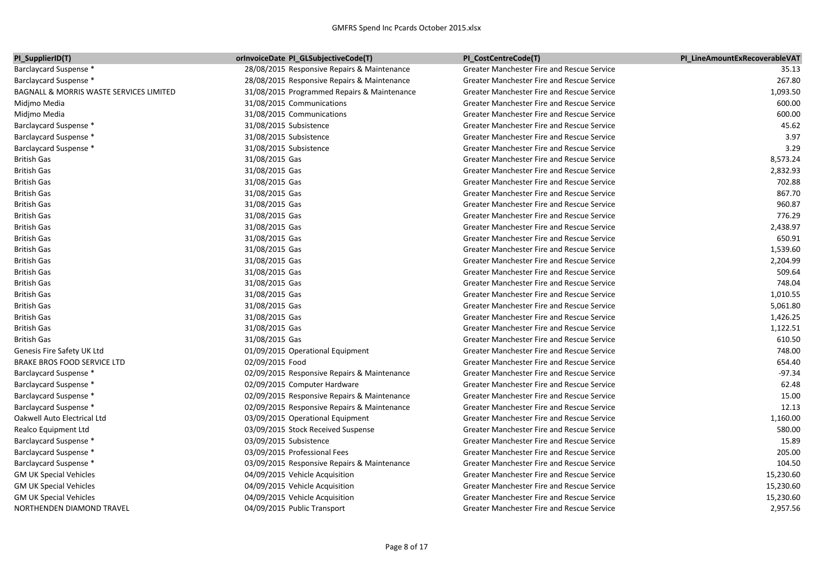| PI_SupplierID(T)                        | <b>lorInvoiceDate PI_GLSubjectiveCode(T)</b> | PI CostCentreCode(T)                              | PI LineAmountExRecoverableVAT |
|-----------------------------------------|----------------------------------------------|---------------------------------------------------|-------------------------------|
| Barclaycard Suspense *                  | 28/08/2015 Responsive Repairs & Maintenance  | Greater Manchester Fire and Rescue Service        | 35.13                         |
| Barclaycard Suspense *                  | 28/08/2015 Responsive Repairs & Maintenance  | <b>Greater Manchester Fire and Rescue Service</b> | 267.80                        |
| BAGNALL & MORRIS WASTE SERVICES LIMITED | 31/08/2015 Programmed Repairs & Maintenance  | <b>Greater Manchester Fire and Rescue Service</b> | 1,093.50                      |
| Midjmo Media                            | 31/08/2015 Communications                    | <b>Greater Manchester Fire and Rescue Service</b> | 600.00                        |
| Midjmo Media                            | 31/08/2015 Communications                    | Greater Manchester Fire and Rescue Service        | 600.00                        |
| Barclaycard Suspense *                  | 31/08/2015 Subsistence                       | Greater Manchester Fire and Rescue Service        | 45.62                         |
| Barclaycard Suspense *                  | 31/08/2015 Subsistence                       | Greater Manchester Fire and Rescue Service        | 3.97                          |
| Barclaycard Suspense *                  | 31/08/2015 Subsistence                       | Greater Manchester Fire and Rescue Service        | 3.29                          |
| <b>British Gas</b>                      | 31/08/2015 Gas                               | Greater Manchester Fire and Rescue Service        | 8,573.24                      |
| <b>British Gas</b>                      | 31/08/2015 Gas                               | <b>Greater Manchester Fire and Rescue Service</b> | 2,832.93                      |
| <b>British Gas</b>                      | 31/08/2015 Gas                               | <b>Greater Manchester Fire and Rescue Service</b> | 702.88                        |
| <b>British Gas</b>                      | 31/08/2015 Gas                               | <b>Greater Manchester Fire and Rescue Service</b> | 867.70                        |
| <b>British Gas</b>                      | 31/08/2015 Gas                               | <b>Greater Manchester Fire and Rescue Service</b> | 960.87                        |
| <b>British Gas</b>                      | 31/08/2015 Gas                               | <b>Greater Manchester Fire and Rescue Service</b> | 776.29                        |
| <b>British Gas</b>                      | 31/08/2015 Gas                               | <b>Greater Manchester Fire and Rescue Service</b> | 2,438.97                      |
| <b>British Gas</b>                      | 31/08/2015 Gas                               | Greater Manchester Fire and Rescue Service        | 650.91                        |
| <b>British Gas</b>                      | 31/08/2015 Gas                               | <b>Greater Manchester Fire and Rescue Service</b> | 1,539.60                      |
| <b>British Gas</b>                      | 31/08/2015 Gas                               | <b>Greater Manchester Fire and Rescue Service</b> | 2,204.99                      |
| <b>British Gas</b>                      | 31/08/2015 Gas                               | Greater Manchester Fire and Rescue Service        | 509.64                        |
| <b>British Gas</b>                      | 31/08/2015 Gas                               | Greater Manchester Fire and Rescue Service        | 748.04                        |
| <b>British Gas</b>                      | 31/08/2015 Gas                               | <b>Greater Manchester Fire and Rescue Service</b> | 1,010.55                      |
| <b>British Gas</b>                      | 31/08/2015 Gas                               | <b>Greater Manchester Fire and Rescue Service</b> | 5,061.80                      |
| <b>British Gas</b>                      | 31/08/2015 Gas                               | <b>Greater Manchester Fire and Rescue Service</b> | 1,426.25                      |
| <b>British Gas</b>                      | 31/08/2015 Gas                               | <b>Greater Manchester Fire and Rescue Service</b> | 1,122.51                      |
| <b>British Gas</b>                      | 31/08/2015 Gas                               | <b>Greater Manchester Fire and Rescue Service</b> | 610.50                        |
| Genesis Fire Safety UK Ltd              | 01/09/2015 Operational Equipment             | Greater Manchester Fire and Rescue Service        | 748.00                        |
| BRAKE BROS FOOD SERVICE LTD             | 02/09/2015 Food                              | <b>Greater Manchester Fire and Rescue Service</b> | 654.40                        |
| Barclaycard Suspense *                  | 02/09/2015 Responsive Repairs & Maintenance  | <b>Greater Manchester Fire and Rescue Service</b> | $-97.34$                      |
| Barclaycard Suspense *                  | 02/09/2015 Computer Hardware                 | Greater Manchester Fire and Rescue Service        | 62.48                         |
| Barclaycard Suspense *                  | 02/09/2015 Responsive Repairs & Maintenance  | Greater Manchester Fire and Rescue Service        | 15.00                         |
| Barclaycard Suspense *                  | 02/09/2015 Responsive Repairs & Maintenance  | Greater Manchester Fire and Rescue Service        | 12.13                         |
| Oakwell Auto Electrical Ltd             | 03/09/2015 Operational Equipment             | <b>Greater Manchester Fire and Rescue Service</b> | 1,160.00                      |
| Realco Equipment Ltd                    | 03/09/2015 Stock Received Suspense           | Greater Manchester Fire and Rescue Service        | 580.00                        |
| Barclaycard Suspense *                  | 03/09/2015 Subsistence                       | <b>Greater Manchester Fire and Rescue Service</b> | 15.89                         |
| Barclaycard Suspense *                  | 03/09/2015 Professional Fees                 | <b>Greater Manchester Fire and Rescue Service</b> | 205.00                        |
| Barclaycard Suspense *                  | 03/09/2015 Responsive Repairs & Maintenance  | <b>Greater Manchester Fire and Rescue Service</b> | 104.50                        |
| <b>GM UK Special Vehicles</b>           | 04/09/2015 Vehicle Acquisition               | Greater Manchester Fire and Rescue Service        | 15,230.60                     |
| <b>GM UK Special Vehicles</b>           | 04/09/2015 Vehicle Acquisition               | <b>Greater Manchester Fire and Rescue Service</b> | 15,230.60                     |
| <b>GM UK Special Vehicles</b>           | 04/09/2015 Vehicle Acquisition               | Greater Manchester Fire and Rescue Service        | 15,230.60                     |
| NORTHENDEN DIAMOND TRAVEL               | 04/09/2015 Public Transport                  | <b>Greater Manchester Fire and Rescue Service</b> | 2,957.56                      |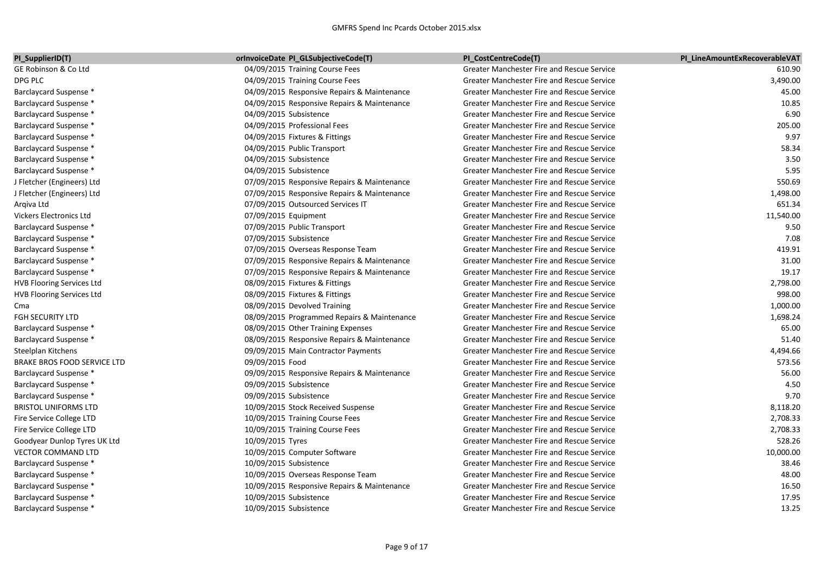| PI_SupplierID(T)                 | orInvoiceDate PI_GLSubjectiveCode(T)        | PI CostCentreCode(T)                              | PI LineAmountExRecoverableVAT |
|----------------------------------|---------------------------------------------|---------------------------------------------------|-------------------------------|
| GE Robinson & Co Ltd             | 04/09/2015 Training Course Fees             | Greater Manchester Fire and Rescue Service        | 610.90                        |
| DPG PLC                          | 04/09/2015 Training Course Fees             | <b>Greater Manchester Fire and Rescue Service</b> | 3,490.00                      |
| Barclaycard Suspense *           | 04/09/2015 Responsive Repairs & Maintenance | Greater Manchester Fire and Rescue Service        | 45.00                         |
| Barclaycard Suspense *           | 04/09/2015 Responsive Repairs & Maintenance | Greater Manchester Fire and Rescue Service        | 10.85                         |
| <b>Barclaycard Suspense *</b>    | 04/09/2015 Subsistence                      | Greater Manchester Fire and Rescue Service        | 6.90                          |
| Barclaycard Suspense *           | 04/09/2015 Professional Fees                | Greater Manchester Fire and Rescue Service        | 205.00                        |
| Barclaycard Suspense *           | 04/09/2015 Fixtures & Fittings              | Greater Manchester Fire and Rescue Service        | 9.97                          |
| <b>Barclaycard Suspense *</b>    | 04/09/2015 Public Transport                 | Greater Manchester Fire and Rescue Service        | 58.34                         |
| Barclaycard Suspense *           | 04/09/2015 Subsistence                      | Greater Manchester Fire and Rescue Service        | 3.50                          |
| Barclaycard Suspense *           | 04/09/2015 Subsistence                      | Greater Manchester Fire and Rescue Service        | 5.95                          |
| J Fletcher (Engineers) Ltd       | 07/09/2015 Responsive Repairs & Maintenance | <b>Greater Manchester Fire and Rescue Service</b> | 550.69                        |
| J Fletcher (Engineers) Ltd       | 07/09/2015 Responsive Repairs & Maintenance | <b>Greater Manchester Fire and Rescue Service</b> | 1,498.00                      |
| Argiva Ltd                       | 07/09/2015 Outsourced Services IT           | Greater Manchester Fire and Rescue Service        | 651.34                        |
| Vickers Electronics Ltd          | 07/09/2015 Equipment                        | Greater Manchester Fire and Rescue Service        | 11,540.00                     |
| Barclaycard Suspense *           | 07/09/2015 Public Transport                 | Greater Manchester Fire and Rescue Service        | 9.50                          |
| Barclaycard Suspense *           | 07/09/2015 Subsistence                      | Greater Manchester Fire and Rescue Service        | 7.08                          |
| Barclaycard Suspense *           | 07/09/2015 Overseas Response Team           | Greater Manchester Fire and Rescue Service        | 419.91                        |
| Barclaycard Suspense *           | 07/09/2015 Responsive Repairs & Maintenance | Greater Manchester Fire and Rescue Service        | 31.00                         |
| Barclaycard Suspense *           | 07/09/2015 Responsive Repairs & Maintenance | Greater Manchester Fire and Rescue Service        | 19.17                         |
| <b>HVB Flooring Services Ltd</b> | 08/09/2015 Fixtures & Fittings              | Greater Manchester Fire and Rescue Service        | 2,798.00                      |
| <b>HVB Flooring Services Ltd</b> | 08/09/2015 Fixtures & Fittings              | <b>Greater Manchester Fire and Rescue Service</b> | 998.00                        |
| Cma                              | 08/09/2015 Devolved Training                | Greater Manchester Fire and Rescue Service        | 1,000.00                      |
| FGH SECURITY LTD                 | 08/09/2015 Programmed Repairs & Maintenance | Greater Manchester Fire and Rescue Service        | 1,698.24                      |
| Barclaycard Suspense *           | 08/09/2015 Other Training Expenses          | <b>Greater Manchester Fire and Rescue Service</b> | 65.00                         |
| Barclaycard Suspense *           | 08/09/2015 Responsive Repairs & Maintenance | <b>Greater Manchester Fire and Rescue Service</b> | 51.40                         |
| Steelplan Kitchens               | 09/09/2015 Main Contractor Payments         | Greater Manchester Fire and Rescue Service        | 4,494.66                      |
| BRAKE BROS FOOD SERVICE LTD      | 09/09/2015 Food                             | Greater Manchester Fire and Rescue Service        | 573.56                        |
| Barclaycard Suspense *           | 09/09/2015 Responsive Repairs & Maintenance | Greater Manchester Fire and Rescue Service        | 56.00                         |
| Barclaycard Suspense *           | 09/09/2015 Subsistence                      | Greater Manchester Fire and Rescue Service        | 4.50                          |
| Barclaycard Suspense *           | 09/09/2015 Subsistence                      | Greater Manchester Fire and Rescue Service        | 9.70                          |
| <b>BRISTOL UNIFORMS LTD</b>      | 10/09/2015 Stock Received Suspense          | Greater Manchester Fire and Rescue Service        | 8,118.20                      |
| Fire Service College LTD         | 10/09/2015 Training Course Fees             | Greater Manchester Fire and Rescue Service        | 2,708.33                      |
| Fire Service College LTD         | 10/09/2015 Training Course Fees             | <b>Greater Manchester Fire and Rescue Service</b> | 2,708.33                      |
| Goodyear Dunlop Tyres UK Ltd     | 10/09/2015 Tyres                            | <b>Greater Manchester Fire and Rescue Service</b> | 528.26                        |
| VECTOR COMMAND LTD               | 10/09/2015 Computer Software                | <b>Greater Manchester Fire and Rescue Service</b> | 10,000.00                     |
| Barclaycard Suspense *           | 10/09/2015 Subsistence                      | Greater Manchester Fire and Rescue Service        | 38.46                         |
| Barclaycard Suspense *           | 10/09/2015 Overseas Response Team           | Greater Manchester Fire and Rescue Service        | 48.00                         |
| Barclaycard Suspense *           | 10/09/2015 Responsive Repairs & Maintenance | <b>Greater Manchester Fire and Rescue Service</b> | 16.50                         |
| Barclaycard Suspense *           | 10/09/2015 Subsistence                      | <b>Greater Manchester Fire and Rescue Service</b> | 17.95                         |
| Barclaycard Suspense *           | 10/09/2015 Subsistence                      | <b>Greater Manchester Fire and Rescue Service</b> | 13.25                         |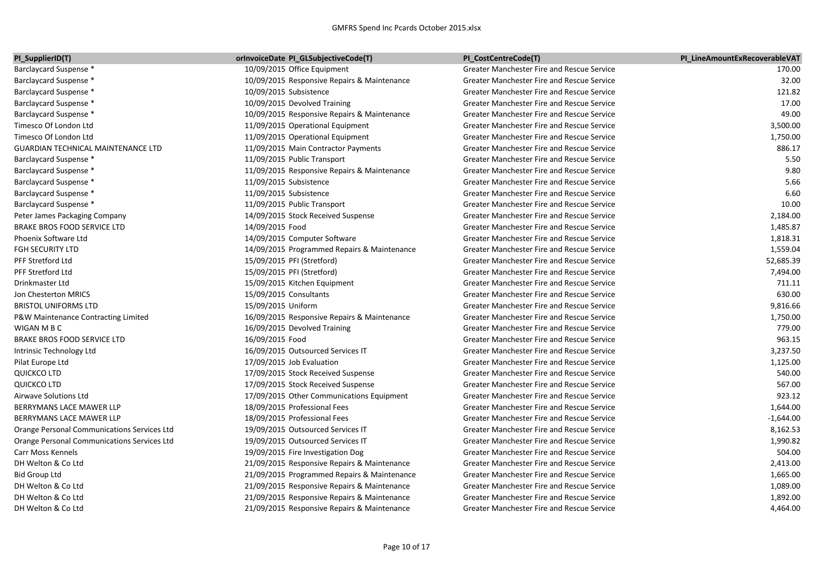| PI SupplierID(T)                            | orInvoiceDate PI GLSubjectiveCode(T)        | PI CostCentreCode(T)                              | PI LineAmountExRecoverableVAT |
|---------------------------------------------|---------------------------------------------|---------------------------------------------------|-------------------------------|
| Barclaycard Suspense *                      | 10/09/2015 Office Equipment                 | Greater Manchester Fire and Rescue Service        | 170.00                        |
| Barclaycard Suspense *                      | 10/09/2015 Responsive Repairs & Maintenance | Greater Manchester Fire and Rescue Service        | 32.00                         |
| Barclaycard Suspense *                      | 10/09/2015 Subsistence                      | Greater Manchester Fire and Rescue Service        | 121.82                        |
| Barclaycard Suspense *                      | 10/09/2015 Devolved Training                | Greater Manchester Fire and Rescue Service        | 17.00                         |
| Barclaycard Suspense *                      | 10/09/2015 Responsive Repairs & Maintenance | <b>Greater Manchester Fire and Rescue Service</b> | 49.00                         |
| Timesco Of London Ltd                       | 11/09/2015 Operational Equipment            | Greater Manchester Fire and Rescue Service        | 3,500.00                      |
| Timesco Of London Ltd                       | 11/09/2015 Operational Equipment            | Greater Manchester Fire and Rescue Service        | 1,750.00                      |
| GUARDIAN TECHNICAL MAINTENANCE LTD          | 11/09/2015 Main Contractor Payments         | Greater Manchester Fire and Rescue Service        | 886.17                        |
| <b>Barclaycard Suspense *</b>               | 11/09/2015 Public Transport                 | Greater Manchester Fire and Rescue Service        | 5.50                          |
| Barclaycard Suspense *                      | 11/09/2015 Responsive Repairs & Maintenance | <b>Greater Manchester Fire and Rescue Service</b> | 9.80                          |
| Barclaycard Suspense *                      | 11/09/2015 Subsistence                      | Greater Manchester Fire and Rescue Service        | 5.66                          |
| Barclaycard Suspense *                      | 11/09/2015 Subsistence                      | Greater Manchester Fire and Rescue Service        | 6.60                          |
| Barclaycard Suspense *                      | 11/09/2015 Public Transport                 | Greater Manchester Fire and Rescue Service        | 10.00                         |
| Peter James Packaging Company               | 14/09/2015 Stock Received Suspense          | Greater Manchester Fire and Rescue Service        | 2,184.00                      |
| BRAKE BROS FOOD SERVICE LTD                 | 14/09/2015 Food                             | <b>Greater Manchester Fire and Rescue Service</b> | 1,485.87                      |
| Phoenix Software Ltd                        | 14/09/2015 Computer Software                | Greater Manchester Fire and Rescue Service        | 1,818.31                      |
| FGH SECURITY LTD                            | 14/09/2015 Programmed Repairs & Maintenance | Greater Manchester Fire and Rescue Service        | 1,559.04                      |
| <b>PFF Stretford Ltd</b>                    | 15/09/2015 PFI (Stretford)                  | Greater Manchester Fire and Rescue Service        | 52,685.39                     |
| PFF Stretford Ltd                           | 15/09/2015 PFI (Stretford)                  | Greater Manchester Fire and Rescue Service        | 7,494.00                      |
| Drinkmaster Ltd                             | 15/09/2015 Kitchen Equipment                | Greater Manchester Fire and Rescue Service        | 711.11                        |
| Jon Chesterton MRICS                        | 15/09/2015 Consultants                      | <b>Greater Manchester Fire and Rescue Service</b> | 630.00                        |
| <b>BRISTOL UNIFORMS LTD</b>                 | 15/09/2015 Uniform                          | <b>Greater Manchester Fire and Rescue Service</b> | 9,816.66                      |
| P&W Maintenance Contracting Limited         | 16/09/2015 Responsive Repairs & Maintenance | Greater Manchester Fire and Rescue Service        | 1,750.00                      |
| WIGAN M B C                                 | 16/09/2015 Devolved Training                | Greater Manchester Fire and Rescue Service        | 779.00                        |
| BRAKE BROS FOOD SERVICE LTD                 | 16/09/2015 Food                             | Greater Manchester Fire and Rescue Service        | 963.15                        |
| Intrinsic Technology Ltd                    | 16/09/2015 Outsourced Services IT           | Greater Manchester Fire and Rescue Service        | 3,237.50                      |
| Pilat Europe Ltd                            | 17/09/2015 Job Evaluation                   | <b>Greater Manchester Fire and Rescue Service</b> | 1,125.00                      |
| <b>QUICKCO LTD</b>                          | 17/09/2015 Stock Received Suspense          | Greater Manchester Fire and Rescue Service        | 540.00                        |
| <b>QUICKCO LTD</b>                          | 17/09/2015 Stock Received Suspense          | Greater Manchester Fire and Rescue Service        | 567.00                        |
| Airwave Solutions Ltd                       | 17/09/2015 Other Communications Equipment   | Greater Manchester Fire and Rescue Service        | 923.12                        |
| BERRYMANS LACE MAWER LLP                    | 18/09/2015 Professional Fees                | Greater Manchester Fire and Rescue Service        | 1,644.00                      |
| BERRYMANS LACE MAWER LLP                    | 18/09/2015 Professional Fees                | <b>Greater Manchester Fire and Rescue Service</b> | $-1,644.00$                   |
| Orange Personal Communications Services Ltd | 19/09/2015 Outsourced Services IT           | Greater Manchester Fire and Rescue Service        | 8,162.53                      |
| Orange Personal Communications Services Ltd | 19/09/2015 Outsourced Services IT           | Greater Manchester Fire and Rescue Service        | 1,990.82                      |
| Carr Moss Kennels                           | 19/09/2015 Fire Investigation Dog           | <b>Greater Manchester Fire and Rescue Service</b> | 504.00                        |
| DH Welton & Co Ltd                          | 21/09/2015 Responsive Repairs & Maintenance | Greater Manchester Fire and Rescue Service        | 2,413.00                      |
| <b>Bid Group Ltd</b>                        | 21/09/2015 Programmed Repairs & Maintenance | Greater Manchester Fire and Rescue Service        | 1,665.00                      |
| DH Welton & Co Ltd                          | 21/09/2015 Responsive Repairs & Maintenance | Greater Manchester Fire and Rescue Service        | 1,089.00                      |
| DH Welton & Co Ltd                          | 21/09/2015 Responsive Repairs & Maintenance | Greater Manchester Fire and Rescue Service        | 1,892.00                      |
| DH Welton & Co Ltd                          | 21/09/2015 Responsive Repairs & Maintenance | <b>Greater Manchester Fire and Rescue Service</b> | 4,464.00                      |
|                                             |                                             |                                                   |                               |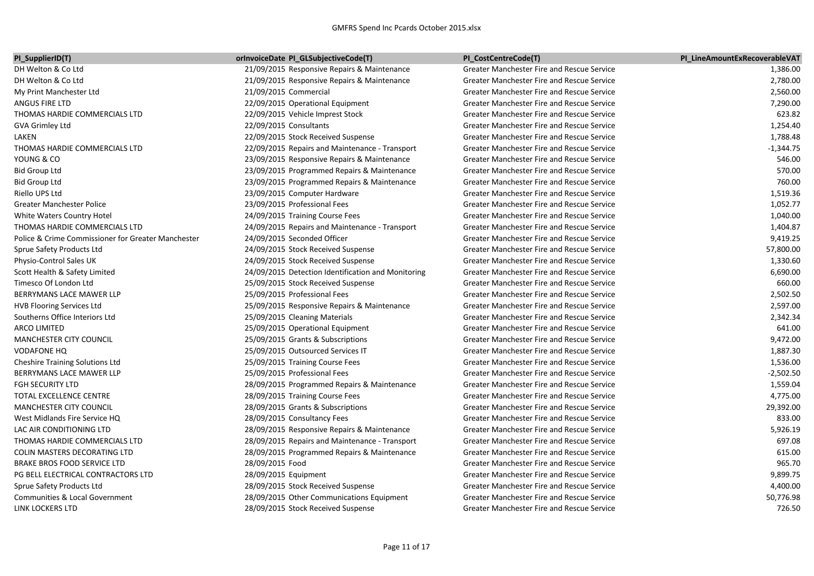| PI_SupplierID(T)                                   | <b>orInvoiceDate PI_GLSubjectiveCode(T)</b>        | PI CostCentreCode(T)                              | PI LineAmountExRecoverableVAT |
|----------------------------------------------------|----------------------------------------------------|---------------------------------------------------|-------------------------------|
| DH Welton & Co Ltd                                 | 21/09/2015 Responsive Repairs & Maintenance        | Greater Manchester Fire and Rescue Service        | 1,386.00                      |
| DH Welton & Co Ltd                                 | 21/09/2015 Responsive Repairs & Maintenance        | <b>Greater Manchester Fire and Rescue Service</b> | 2,780.00                      |
| My Print Manchester Ltd                            | 21/09/2015 Commercial                              | Greater Manchester Fire and Rescue Service        | 2,560.00                      |
| ANGUS FIRE LTD                                     | 22/09/2015 Operational Equipment                   | Greater Manchester Fire and Rescue Service        | 7,290.00                      |
| THOMAS HARDIE COMMERCIALS LTD                      | 22/09/2015 Vehicle Imprest Stock                   | Greater Manchester Fire and Rescue Service        | 623.82                        |
| GVA Grimley Ltd                                    | 22/09/2015 Consultants                             | Greater Manchester Fire and Rescue Service        | 1,254.40                      |
| LAKEN                                              | 22/09/2015 Stock Received Suspense                 | <b>Greater Manchester Fire and Rescue Service</b> | 1,788.48                      |
| THOMAS HARDIE COMMERCIALS LTD                      | 22/09/2015 Repairs and Maintenance - Transport     | Greater Manchester Fire and Rescue Service        | $-1,344.75$                   |
| YOUNG & CO                                         | 23/09/2015 Responsive Repairs & Maintenance        | <b>Greater Manchester Fire and Rescue Service</b> | 546.00                        |
| <b>Bid Group Ltd</b>                               | 23/09/2015 Programmed Repairs & Maintenance        | Greater Manchester Fire and Rescue Service        | 570.00                        |
| <b>Bid Group Ltd</b>                               | 23/09/2015 Programmed Repairs & Maintenance        | Greater Manchester Fire and Rescue Service        | 760.00                        |
| Riello UPS Ltd                                     | 23/09/2015 Computer Hardware                       | <b>Greater Manchester Fire and Rescue Service</b> | 1,519.36                      |
| <b>Greater Manchester Police</b>                   | 23/09/2015 Professional Fees                       | Greater Manchester Fire and Rescue Service        | 1,052.77                      |
| White Waters Country Hotel                         | 24/09/2015 Training Course Fees                    | Greater Manchester Fire and Rescue Service        | 1,040.00                      |
| THOMAS HARDIE COMMERCIALS LTD                      | 24/09/2015 Repairs and Maintenance - Transport     | Greater Manchester Fire and Rescue Service        | 1,404.87                      |
| Police & Crime Commissioner for Greater Manchester | 24/09/2015 Seconded Officer                        | Greater Manchester Fire and Rescue Service        | 9,419.25                      |
| Sprue Safety Products Ltd                          | 24/09/2015 Stock Received Suspense                 | Greater Manchester Fire and Rescue Service        | 57,800.00                     |
| Physio-Control Sales UK                            | 24/09/2015 Stock Received Suspense                 | <b>Greater Manchester Fire and Rescue Service</b> | 1,330.60                      |
| Scott Health & Safety Limited                      | 24/09/2015 Detection Identification and Monitoring | Greater Manchester Fire and Rescue Service        | 6,690.00                      |
| Timesco Of London Ltd                              | 25/09/2015 Stock Received Suspense                 | Greater Manchester Fire and Rescue Service        | 660.00                        |
| BERRYMANS LACE MAWER LLP                           | 25/09/2015 Professional Fees                       | Greater Manchester Fire and Rescue Service        | 2,502.50                      |
| <b>HVB Flooring Services Ltd</b>                   | 25/09/2015 Responsive Repairs & Maintenance        | <b>Greater Manchester Fire and Rescue Service</b> | 2,597.00                      |
| Southerns Office Interiors Ltd                     | 25/09/2015 Cleaning Materials                      | Greater Manchester Fire and Rescue Service        | 2,342.34                      |
| <b>ARCO LIMITED</b>                                | 25/09/2015 Operational Equipment                   | <b>Greater Manchester Fire and Rescue Service</b> | 641.00                        |
| <b>MANCHESTER CITY COUNCIL</b>                     | 25/09/2015 Grants & Subscriptions                  | <b>Greater Manchester Fire and Rescue Service</b> | 9,472.00                      |
| <b>VODAFONE HQ</b>                                 | 25/09/2015 Outsourced Services IT                  | Greater Manchester Fire and Rescue Service        | 1,887.30                      |
| <b>Cheshire Training Solutions Ltd</b>             | 25/09/2015 Training Course Fees                    | Greater Manchester Fire and Rescue Service        | 1,536.00                      |
| BERRYMANS LACE MAWER LLP                           | 25/09/2015 Professional Fees                       | <b>Greater Manchester Fire and Rescue Service</b> | $-2,502.50$                   |
| <b>FGH SECURITY LTD</b>                            | 28/09/2015 Programmed Repairs & Maintenance        | Greater Manchester Fire and Rescue Service        | 1,559.04                      |
| TOTAL EXCELLENCE CENTRE                            | 28/09/2015 Training Course Fees                    | Greater Manchester Fire and Rescue Service        | 4,775.00                      |
| MANCHESTER CITY COUNCIL                            | 28/09/2015 Grants & Subscriptions                  | Greater Manchester Fire and Rescue Service        | 29,392.00                     |
| West Midlands Fire Service HQ                      | 28/09/2015 Consultancy Fees                        | Greater Manchester Fire and Rescue Service        | 833.00                        |
| LAC AIR CONDITIONING LTD                           | 28/09/2015 Responsive Repairs & Maintenance        | Greater Manchester Fire and Rescue Service        | 5,926.19                      |
| THOMAS HARDIE COMMERCIALS LTD                      | 28/09/2015 Repairs and Maintenance - Transport     | <b>Greater Manchester Fire and Rescue Service</b> | 697.08                        |
| COLIN MASTERS DECORATING LTD                       | 28/09/2015 Programmed Repairs & Maintenance        | <b>Greater Manchester Fire and Rescue Service</b> | 615.00                        |
| <b>BRAKE BROS FOOD SERVICE LTD</b>                 | 28/09/2015 Food                                    | Greater Manchester Fire and Rescue Service        | 965.70                        |
| PG BELL ELECTRICAL CONTRACTORS LTD                 | 28/09/2015 Equipment                               | Greater Manchester Fire and Rescue Service        | 9,899.75                      |
| Sprue Safety Products Ltd                          | 28/09/2015 Stock Received Suspense                 | <b>Greater Manchester Fire and Rescue Service</b> | 4,400.00                      |
| Communities & Local Government                     | 28/09/2015 Other Communications Equipment          | <b>Greater Manchester Fire and Rescue Service</b> | 50,776.98                     |
| <b>LINK LOCKERS LTD</b>                            | 28/09/2015 Stock Received Suspense                 | <b>Greater Manchester Fire and Rescue Service</b> | 726.50                        |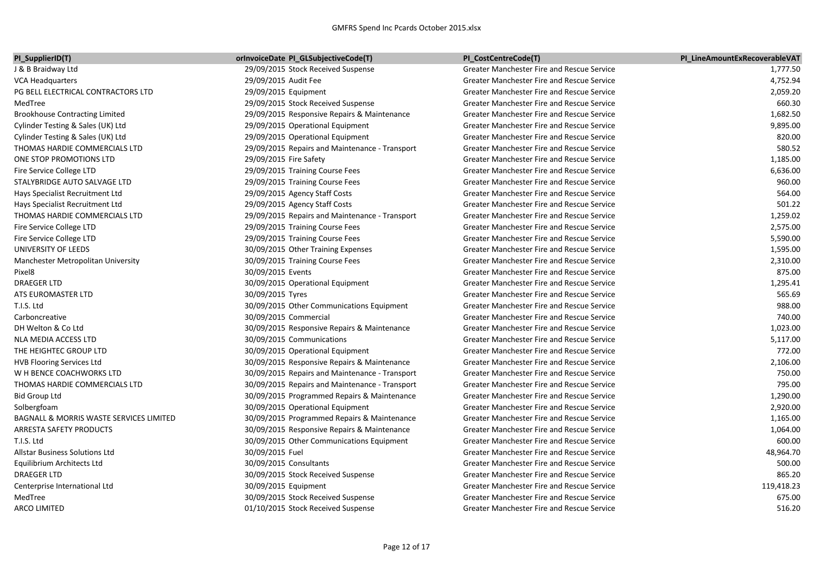| PI_SupplierID(T)                        | orInvoiceDate PI_GLSubjectiveCode(T)           | PI_CostCentreCode(T)                              | PI LineAmountExRecoverableVAT |
|-----------------------------------------|------------------------------------------------|---------------------------------------------------|-------------------------------|
| J & B Braidway Ltd                      | 29/09/2015 Stock Received Suspense             | Greater Manchester Fire and Rescue Service        | 1,777.50                      |
| <b>VCA Headquarters</b>                 | 29/09/2015 Audit Fee                           | Greater Manchester Fire and Rescue Service        | 4,752.94                      |
| PG BELL ELECTRICAL CONTRACTORS LTD      | 29/09/2015 Equipment                           | Greater Manchester Fire and Rescue Service        | 2,059.20                      |
| MedTree                                 | 29/09/2015 Stock Received Suspense             | Greater Manchester Fire and Rescue Service        | 660.30                        |
| <b>Brookhouse Contracting Limited</b>   | 29/09/2015 Responsive Repairs & Maintenance    | Greater Manchester Fire and Rescue Service        | 1,682.50                      |
| Cylinder Testing & Sales (UK) Ltd       | 29/09/2015 Operational Equipment               | Greater Manchester Fire and Rescue Service        | 9,895.00                      |
| Cylinder Testing & Sales (UK) Ltd       | 29/09/2015 Operational Equipment               | Greater Manchester Fire and Rescue Service        | 820.00                        |
| THOMAS HARDIE COMMERCIALS LTD           | 29/09/2015 Repairs and Maintenance - Transport | Greater Manchester Fire and Rescue Service        | 580.52                        |
| ONE STOP PROMOTIONS LTD                 | 29/09/2015 Fire Safety                         | Greater Manchester Fire and Rescue Service        | 1,185.00                      |
| Fire Service College LTD                | 29/09/2015 Training Course Fees                | Greater Manchester Fire and Rescue Service        | 6,636.00                      |
| STALYBRIDGE AUTO SALVAGE LTD            | 29/09/2015 Training Course Fees                | Greater Manchester Fire and Rescue Service        | 960.00                        |
| Hays Specialist Recruitment Ltd         | 29/09/2015 Agency Staff Costs                  | Greater Manchester Fire and Rescue Service        | 564.00                        |
| Hays Specialist Recruitment Ltd         | 29/09/2015 Agency Staff Costs                  | Greater Manchester Fire and Rescue Service        | 501.22                        |
| THOMAS HARDIE COMMERCIALS LTD           | 29/09/2015 Repairs and Maintenance - Transport | Greater Manchester Fire and Rescue Service        | 1,259.02                      |
| Fire Service College LTD                | 29/09/2015 Training Course Fees                | Greater Manchester Fire and Rescue Service        | 2,575.00                      |
| Fire Service College LTD                | 29/09/2015 Training Course Fees                | Greater Manchester Fire and Rescue Service        | 5,590.00                      |
| UNIVERSITY OF LEEDS                     | 30/09/2015 Other Training Expenses             | Greater Manchester Fire and Rescue Service        | 1,595.00                      |
| Manchester Metropolitan University      | 30/09/2015 Training Course Fees                | Greater Manchester Fire and Rescue Service        | 2,310.00                      |
| Pixel8                                  | 30/09/2015 Events                              | Greater Manchester Fire and Rescue Service        | 875.00                        |
| DRAEGER LTD                             | 30/09/2015 Operational Equipment               | Greater Manchester Fire and Rescue Service        | 1,295.41                      |
| ATS EUROMASTER LTD                      | 30/09/2015 Tyres                               | Greater Manchester Fire and Rescue Service        | 565.69                        |
| T.I.S. Ltd                              | 30/09/2015 Other Communications Equipment      | Greater Manchester Fire and Rescue Service        | 988.00                        |
| Carboncreative                          | 30/09/2015 Commercial                          | <b>Greater Manchester Fire and Rescue Service</b> | 740.00                        |
| DH Welton & Co Ltd                      | 30/09/2015 Responsive Repairs & Maintenance    | Greater Manchester Fire and Rescue Service        | 1,023.00                      |
| NLA MEDIA ACCESS LTD                    | 30/09/2015 Communications                      | <b>Greater Manchester Fire and Rescue Service</b> | 5,117.00                      |
| THE HEIGHTEC GROUP LTD                  | 30/09/2015 Operational Equipment               | Greater Manchester Fire and Rescue Service        | 772.00                        |
| <b>HVB Flooring Services Ltd</b>        | 30/09/2015 Responsive Repairs & Maintenance    | Greater Manchester Fire and Rescue Service        | 2,106.00                      |
| W H BENCE COACHWORKS LTD                | 30/09/2015 Repairs and Maintenance - Transport | Greater Manchester Fire and Rescue Service        | 750.00                        |
| THOMAS HARDIE COMMERCIALS LTD           | 30/09/2015 Repairs and Maintenance - Transport | Greater Manchester Fire and Rescue Service        | 795.00                        |
| Bid Group Ltd                           | 30/09/2015 Programmed Repairs & Maintenance    | Greater Manchester Fire and Rescue Service        | 1,290.00                      |
| Solbergfoam                             | 30/09/2015 Operational Equipment               | Greater Manchester Fire and Rescue Service        | 2,920.00                      |
| BAGNALL & MORRIS WASTE SERVICES LIMITED | 30/09/2015 Programmed Repairs & Maintenance    | Greater Manchester Fire and Rescue Service        | 1,165.00                      |
| ARRESTA SAFETY PRODUCTS                 | 30/09/2015 Responsive Repairs & Maintenance    | Greater Manchester Fire and Rescue Service        | 1,064.00                      |
| T.I.S. Ltd                              | 30/09/2015 Other Communications Equipment      | Greater Manchester Fire and Rescue Service        | 600.00                        |
| Allstar Business Solutions Ltd          | 30/09/2015 Fuel                                | Greater Manchester Fire and Rescue Service        | 48,964.70                     |
| Equilibrium Architects Ltd              | 30/09/2015 Consultants                         | Greater Manchester Fire and Rescue Service        | 500.00                        |
| DRAEGER LTD                             | 30/09/2015 Stock Received Suspense             | Greater Manchester Fire and Rescue Service        | 865.20                        |
| Centerprise International Ltd           | 30/09/2015 Equipment                           | Greater Manchester Fire and Rescue Service        | 119,418.23                    |
| MedTree                                 | 30/09/2015 Stock Received Suspense             | <b>Greater Manchester Fire and Rescue Service</b> | 675.00                        |
| <b>ARCO LIMITED</b>                     | 01/10/2015 Stock Received Suspense             | Greater Manchester Fire and Rescue Service        | 516.20                        |
|                                         |                                                |                                                   |                               |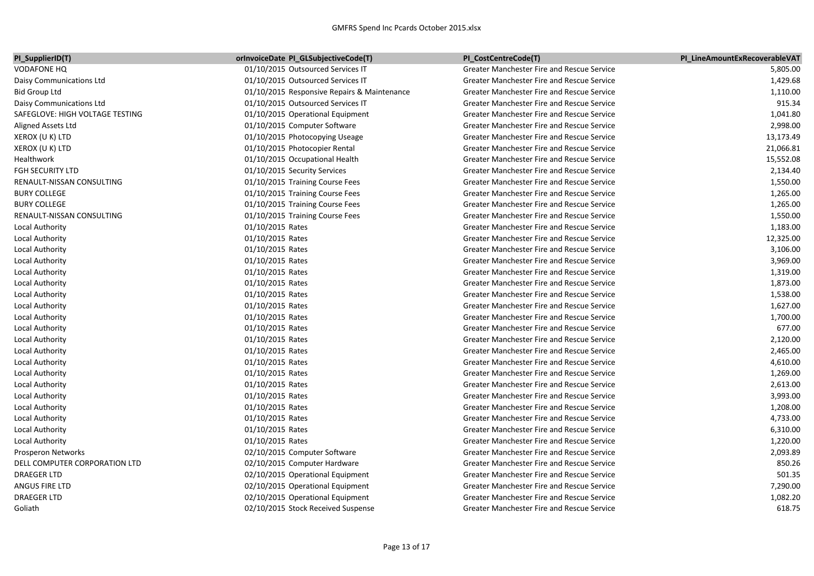| PI_SupplierID(T)                | orInvoiceDate PI_GLSubjectiveCode(T)        | PI_CostCentreCode(T)                              | PI LineAmountExRecoverableVAT |
|---------------------------------|---------------------------------------------|---------------------------------------------------|-------------------------------|
| <b>VODAFONE HQ</b>              | 01/10/2015 Outsourced Services IT           | Greater Manchester Fire and Rescue Service        | 5,805.00                      |
| Daisy Communications Ltd        | 01/10/2015 Outsourced Services IT           | Greater Manchester Fire and Rescue Service        | 1,429.68                      |
| <b>Bid Group Ltd</b>            | 01/10/2015 Responsive Repairs & Maintenance | Greater Manchester Fire and Rescue Service        | 1,110.00                      |
| Daisy Communications Ltd        | 01/10/2015 Outsourced Services IT           | <b>Greater Manchester Fire and Rescue Service</b> | 915.34                        |
| SAFEGLOVE: HIGH VOLTAGE TESTING | 01/10/2015 Operational Equipment            | Greater Manchester Fire and Rescue Service        | 1,041.80                      |
| Aligned Assets Ltd              | 01/10/2015 Computer Software                | <b>Greater Manchester Fire and Rescue Service</b> | 2,998.00                      |
| XEROX (U K) LTD                 | 01/10/2015 Photocopying Useage              | Greater Manchester Fire and Rescue Service        | 13,173.49                     |
| XEROX (U K) LTD                 | 01/10/2015 Photocopier Rental               | Greater Manchester Fire and Rescue Service        | 21,066.81                     |
| Healthwork                      | 01/10/2015 Occupational Health              | <b>Greater Manchester Fire and Rescue Service</b> | 15,552.08                     |
| <b>FGH SECURITY LTD</b>         | 01/10/2015 Security Services                | Greater Manchester Fire and Rescue Service        | 2,134.40                      |
| RENAULT-NISSAN CONSULTING       | 01/10/2015 Training Course Fees             | Greater Manchester Fire and Rescue Service        | 1,550.00                      |
| <b>BURY COLLEGE</b>             | 01/10/2015 Training Course Fees             | Greater Manchester Fire and Rescue Service        | 1,265.00                      |
| <b>BURY COLLEGE</b>             | 01/10/2015 Training Course Fees             | Greater Manchester Fire and Rescue Service        | 1,265.00                      |
| RENAULT-NISSAN CONSULTING       | 01/10/2015 Training Course Fees             | Greater Manchester Fire and Rescue Service        | 1,550.00                      |
| Local Authority                 | 01/10/2015 Rates                            | Greater Manchester Fire and Rescue Service        | 1,183.00                      |
| Local Authority                 | 01/10/2015 Rates                            | Greater Manchester Fire and Rescue Service        | 12,325.00                     |
| Local Authority                 | 01/10/2015 Rates                            | Greater Manchester Fire and Rescue Service        | 3,106.00                      |
| Local Authority                 | 01/10/2015 Rates                            | Greater Manchester Fire and Rescue Service        | 3,969.00                      |
| Local Authority                 | 01/10/2015 Rates                            | Greater Manchester Fire and Rescue Service        | 1,319.00                      |
| Local Authority                 | 01/10/2015 Rates                            | Greater Manchester Fire and Rescue Service        | 1,873.00                      |
| Local Authority                 | 01/10/2015 Rates                            | <b>Greater Manchester Fire and Rescue Service</b> | 1,538.00                      |
| Local Authority                 | 01/10/2015 Rates                            | Greater Manchester Fire and Rescue Service        | 1,627.00                      |
| Local Authority                 | 01/10/2015 Rates                            | Greater Manchester Fire and Rescue Service        | 1,700.00                      |
| Local Authority                 | 01/10/2015 Rates                            | Greater Manchester Fire and Rescue Service        | 677.00                        |
| Local Authority                 | 01/10/2015 Rates                            | Greater Manchester Fire and Rescue Service        | 2,120.00                      |
| Local Authority                 | 01/10/2015 Rates                            | Greater Manchester Fire and Rescue Service        | 2,465.00                      |
| Local Authority                 | 01/10/2015 Rates                            | Greater Manchester Fire and Rescue Service        | 4,610.00                      |
| Local Authority                 | 01/10/2015 Rates                            | Greater Manchester Fire and Rescue Service        | 1,269.00                      |
| Local Authority                 | 01/10/2015 Rates                            | <b>Greater Manchester Fire and Rescue Service</b> | 2,613.00                      |
| Local Authority                 | 01/10/2015 Rates                            | Greater Manchester Fire and Rescue Service        | 3,993.00                      |
| Local Authority                 | 01/10/2015 Rates                            | Greater Manchester Fire and Rescue Service        | 1,208.00                      |
| Local Authority                 | 01/10/2015 Rates                            | Greater Manchester Fire and Rescue Service        | 4,733.00                      |
| Local Authority                 | 01/10/2015 Rates                            | <b>Greater Manchester Fire and Rescue Service</b> | 6,310.00                      |
| Local Authority                 | 01/10/2015 Rates                            | Greater Manchester Fire and Rescue Service        | 1,220.00                      |
| Prosperon Networks              | 02/10/2015 Computer Software                | Greater Manchester Fire and Rescue Service        | 2,093.89                      |
| DELL COMPUTER CORPORATION LTD   | 02/10/2015 Computer Hardware                | Greater Manchester Fire and Rescue Service        | 850.26                        |
| <b>DRAEGER LTD</b>              | 02/10/2015 Operational Equipment            | Greater Manchester Fire and Rescue Service        | 501.35                        |
| ANGUS FIRE LTD                  | 02/10/2015 Operational Equipment            | Greater Manchester Fire and Rescue Service        | 7,290.00                      |
| <b>DRAEGER LTD</b>              | 02/10/2015 Operational Equipment            | Greater Manchester Fire and Rescue Service        | 1,082.20                      |
| Goliath                         | 02/10/2015 Stock Received Suspense          | Greater Manchester Fire and Rescue Service        | 618.75                        |
|                                 |                                             |                                                   |                               |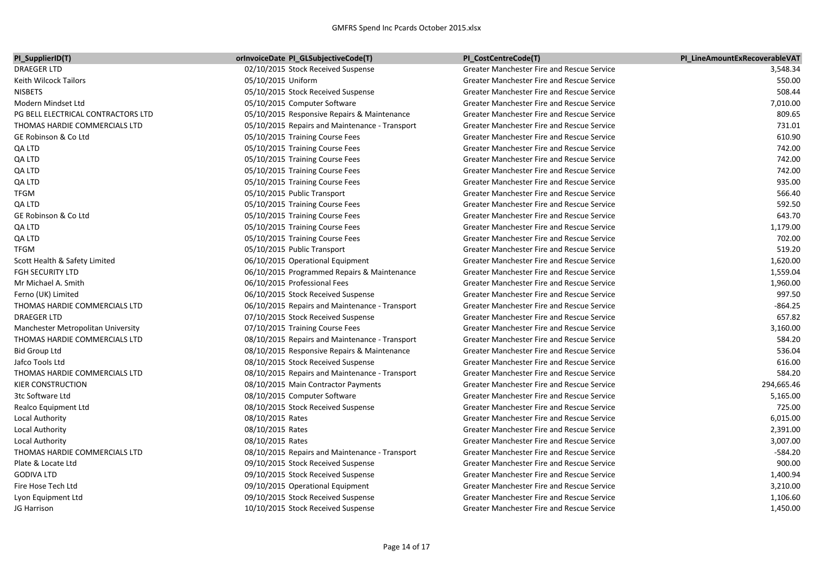| PI_SupplierID(T)                   | orInvoiceDate PI_GLSubjectiveCode(T)           | PI_CostCentreCode(T)                       | PI LineAmountExRecoverableVAT |
|------------------------------------|------------------------------------------------|--------------------------------------------|-------------------------------|
| <b>DRAEGER LTD</b>                 | 02/10/2015 Stock Received Suspense             | Greater Manchester Fire and Rescue Service | 3,548.34                      |
| Keith Wilcock Tailors              | 05/10/2015 Uniform                             | Greater Manchester Fire and Rescue Service | 550.00                        |
| <b>NISBETS</b>                     | 05/10/2015 Stock Received Suspense             | Greater Manchester Fire and Rescue Service | 508.44                        |
| Modern Mindset Ltd                 | 05/10/2015 Computer Software                   | Greater Manchester Fire and Rescue Service | 7,010.00                      |
| PG BELL ELECTRICAL CONTRACTORS LTD | 05/10/2015 Responsive Repairs & Maintenance    | Greater Manchester Fire and Rescue Service | 809.65                        |
| THOMAS HARDIE COMMERCIALS LTD      | 05/10/2015 Repairs and Maintenance - Transport | Greater Manchester Fire and Rescue Service | 731.01                        |
| GE Robinson & Co Ltd               | 05/10/2015 Training Course Fees                | Greater Manchester Fire and Rescue Service | 610.90                        |
| QA LTD                             | 05/10/2015 Training Course Fees                | Greater Manchester Fire and Rescue Service | 742.00                        |
| QA LTD                             | 05/10/2015 Training Course Fees                | Greater Manchester Fire and Rescue Service | 742.00                        |
| QA LTD                             | 05/10/2015 Training Course Fees                | Greater Manchester Fire and Rescue Service | 742.00                        |
| QA LTD                             | 05/10/2015 Training Course Fees                | Greater Manchester Fire and Rescue Service | 935.00                        |
| <b>TFGM</b>                        | 05/10/2015 Public Transport                    | Greater Manchester Fire and Rescue Service | 566.40                        |
| QA LTD                             | 05/10/2015 Training Course Fees                | Greater Manchester Fire and Rescue Service | 592.50                        |
| GE Robinson & Co Ltd               | 05/10/2015 Training Course Fees                | Greater Manchester Fire and Rescue Service | 643.70                        |
| QA LTD                             | 05/10/2015 Training Course Fees                | Greater Manchester Fire and Rescue Service | 1,179.00                      |
| QA LTD                             | 05/10/2015 Training Course Fees                | Greater Manchester Fire and Rescue Service | 702.00                        |
| <b>TFGM</b>                        | 05/10/2015 Public Transport                    | Greater Manchester Fire and Rescue Service | 519.20                        |
| Scott Health & Safety Limited      | 06/10/2015 Operational Equipment               | Greater Manchester Fire and Rescue Service | 1,620.00                      |
| <b>FGH SECURITY LTD</b>            | 06/10/2015 Programmed Repairs & Maintenance    | Greater Manchester Fire and Rescue Service | 1,559.04                      |
| Mr Michael A. Smith                | 06/10/2015 Professional Fees                   | Greater Manchester Fire and Rescue Service | 1,960.00                      |
| Ferno (UK) Limited                 | 06/10/2015 Stock Received Suspense             | Greater Manchester Fire and Rescue Service | 997.50                        |
| THOMAS HARDIE COMMERCIALS LTD      | 06/10/2015 Repairs and Maintenance - Transport | Greater Manchester Fire and Rescue Service | $-864.25$                     |
| <b>DRAEGER LTD</b>                 | 07/10/2015 Stock Received Suspense             | Greater Manchester Fire and Rescue Service | 657.82                        |
| Manchester Metropolitan University | 07/10/2015 Training Course Fees                | Greater Manchester Fire and Rescue Service | 3,160.00                      |
| THOMAS HARDIE COMMERCIALS LTD      | 08/10/2015 Repairs and Maintenance - Transport | Greater Manchester Fire and Rescue Service | 584.20                        |
| <b>Bid Group Ltd</b>               | 08/10/2015 Responsive Repairs & Maintenance    | Greater Manchester Fire and Rescue Service | 536.04                        |
| Jafco Tools Ltd                    | 08/10/2015 Stock Received Suspense             | Greater Manchester Fire and Rescue Service | 616.00                        |
| THOMAS HARDIE COMMERCIALS LTD      | 08/10/2015 Repairs and Maintenance - Transport | Greater Manchester Fire and Rescue Service | 584.20                        |
| KIER CONSTRUCTION                  | 08/10/2015 Main Contractor Payments            | Greater Manchester Fire and Rescue Service | 294,665.46                    |
| 3tc Software Ltd                   | 08/10/2015 Computer Software                   | Greater Manchester Fire and Rescue Service | 5,165.00                      |
| Realco Equipment Ltd               | 08/10/2015 Stock Received Suspense             | Greater Manchester Fire and Rescue Service | 725.00                        |
| Local Authority                    | 08/10/2015 Rates                               | Greater Manchester Fire and Rescue Service | 6,015.00                      |
| Local Authority                    | 08/10/2015 Rates                               | Greater Manchester Fire and Rescue Service | 2,391.00                      |
| Local Authority                    | 08/10/2015 Rates                               | Greater Manchester Fire and Rescue Service | 3,007.00                      |
| THOMAS HARDIE COMMERCIALS LTD      | 08/10/2015 Repairs and Maintenance - Transport | Greater Manchester Fire and Rescue Service | $-584.20$                     |
| Plate & Locate Ltd                 | 09/10/2015 Stock Received Suspense             | Greater Manchester Fire and Rescue Service | 900.00                        |
| <b>GODIVA LTD</b>                  | 09/10/2015 Stock Received Suspense             | Greater Manchester Fire and Rescue Service | 1,400.94                      |
| Fire Hose Tech Ltd                 | 09/10/2015 Operational Equipment               | Greater Manchester Fire and Rescue Service | 3,210.00                      |
| Lyon Equipment Ltd                 | 09/10/2015 Stock Received Suspense             | Greater Manchester Fire and Rescue Service | 1,106.60                      |
| JG Harrison                        | 10/10/2015 Stock Received Suspense             | Greater Manchester Fire and Rescue Service | 1,450.00                      |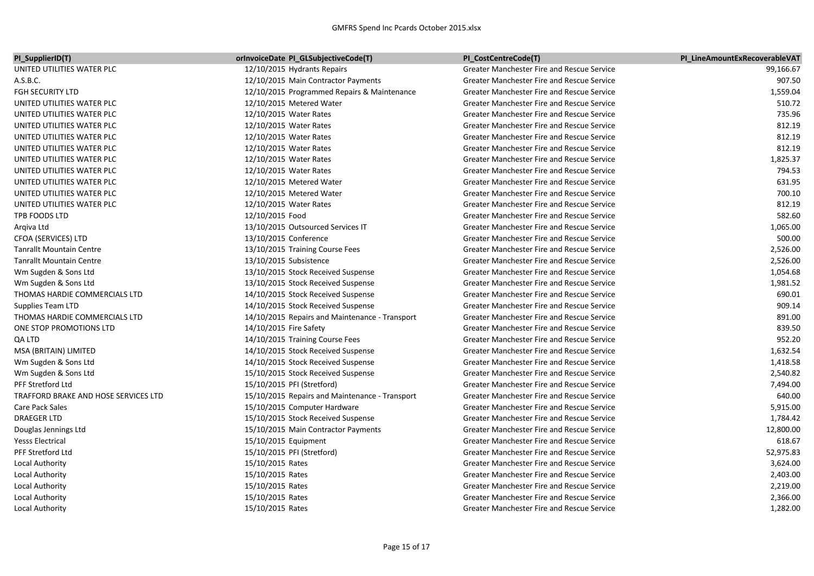| PI SupplierID(T)                     | <b>OrlnvoiceDate PI GLSubjectiveCode(T)</b>    | PI CostCentreCode(T)                              | PI LineAmountExRecoverableVAT |
|--------------------------------------|------------------------------------------------|---------------------------------------------------|-------------------------------|
| UNITED UTILITIES WATER PLC           | 12/10/2015 Hydrants Repairs                    | <b>Greater Manchester Fire and Rescue Service</b> | 99,166.67                     |
| A.S.B.C.                             | 12/10/2015 Main Contractor Payments            | <b>Greater Manchester Fire and Rescue Service</b> | 907.50                        |
| <b>FGH SECURITY LTD</b>              | 12/10/2015 Programmed Repairs & Maintenance    | <b>Greater Manchester Fire and Rescue Service</b> | 1,559.04                      |
| UNITED UTILITIES WATER PLC           | 12/10/2015 Metered Water                       | <b>Greater Manchester Fire and Rescue Service</b> | 510.72                        |
| UNITED UTILITIES WATER PLC           | 12/10/2015 Water Rates                         | <b>Greater Manchester Fire and Rescue Service</b> | 735.96                        |
| UNITED UTILITIES WATER PLC           | 12/10/2015 Water Rates                         | <b>Greater Manchester Fire and Rescue Service</b> | 812.19                        |
| UNITED UTILITIES WATER PLC           | 12/10/2015 Water Rates                         | <b>Greater Manchester Fire and Rescue Service</b> | 812.19                        |
| UNITED UTILITIES WATER PLC           | 12/10/2015 Water Rates                         | <b>Greater Manchester Fire and Rescue Service</b> | 812.19                        |
| UNITED UTILITIES WATER PLC           | 12/10/2015 Water Rates                         | <b>Greater Manchester Fire and Rescue Service</b> | 1,825.37                      |
| UNITED UTILITIES WATER PLC           | 12/10/2015 Water Rates                         | <b>Greater Manchester Fire and Rescue Service</b> | 794.53                        |
| UNITED UTILITIES WATER PLC           | 12/10/2015 Metered Water                       | <b>Greater Manchester Fire and Rescue Service</b> | 631.95                        |
| UNITED UTILITIES WATER PLC           | 12/10/2015 Metered Water                       | <b>Greater Manchester Fire and Rescue Service</b> | 700.10                        |
| UNITED UTILITIES WATER PLC           | 12/10/2015 Water Rates                         | <b>Greater Manchester Fire and Rescue Service</b> | 812.19                        |
| TPB FOODS LTD                        | 12/10/2015 Food                                | <b>Greater Manchester Fire and Rescue Service</b> | 582.60                        |
| Argiva Ltd                           | 13/10/2015 Outsourced Services IT              | <b>Greater Manchester Fire and Rescue Service</b> | 1,065.00                      |
| CFOA (SERVICES) LTD                  | 13/10/2015 Conference                          | <b>Greater Manchester Fire and Rescue Service</b> | 500.00                        |
| <b>Tanrallt Mountain Centre</b>      | 13/10/2015 Training Course Fees                | <b>Greater Manchester Fire and Rescue Service</b> | 2,526.00                      |
| <b>Tanrallt Mountain Centre</b>      | 13/10/2015 Subsistence                         | <b>Greater Manchester Fire and Rescue Service</b> | 2,526.00                      |
| Wm Sugden & Sons Ltd                 | 13/10/2015 Stock Received Suspense             | <b>Greater Manchester Fire and Rescue Service</b> | 1,054.68                      |
| Wm Sugden & Sons Ltd                 | 13/10/2015 Stock Received Suspense             | Greater Manchester Fire and Rescue Service        | 1,981.52                      |
| THOMAS HARDIE COMMERCIALS LTD        | 14/10/2015 Stock Received Suspense             | <b>Greater Manchester Fire and Rescue Service</b> | 690.01                        |
| Supplies Team LTD                    | 14/10/2015 Stock Received Suspense             | <b>Greater Manchester Fire and Rescue Service</b> | 909.14                        |
| THOMAS HARDIE COMMERCIALS LTD        | 14/10/2015 Repairs and Maintenance - Transport | <b>Greater Manchester Fire and Rescue Service</b> | 891.00                        |
| ONE STOP PROMOTIONS LTD              | 14/10/2015 Fire Safety                         | Greater Manchester Fire and Rescue Service        | 839.50                        |
| QA LTD                               | 14/10/2015 Training Course Fees                | <b>Greater Manchester Fire and Rescue Service</b> | 952.20                        |
| MSA (BRITAIN) LIMITED                | 14/10/2015 Stock Received Suspense             | <b>Greater Manchester Fire and Rescue Service</b> | 1,632.54                      |
| Wm Sugden & Sons Ltd                 | 14/10/2015 Stock Received Suspense             | Greater Manchester Fire and Rescue Service        | 1,418.58                      |
| Wm Sugden & Sons Ltd                 | 15/10/2015 Stock Received Suspense             | <b>Greater Manchester Fire and Rescue Service</b> | 2,540.82                      |
| PFF Stretford Ltd                    | 15/10/2015 PFI (Stretford)                     | <b>Greater Manchester Fire and Rescue Service</b> | 7,494.00                      |
| TRAFFORD BRAKE AND HOSE SERVICES LTD | 15/10/2015 Repairs and Maintenance - Transport | <b>Greater Manchester Fire and Rescue Service</b> | 640.00                        |
| <b>Care Pack Sales</b>               | 15/10/2015 Computer Hardware                   | <b>Greater Manchester Fire and Rescue Service</b> | 5,915.00                      |
| DRAEGER LTD                          | 15/10/2015 Stock Received Suspense             | Greater Manchester Fire and Rescue Service        | 1,784.42                      |
| Douglas Jennings Ltd                 | 15/10/2015 Main Contractor Payments            | <b>Greater Manchester Fire and Rescue Service</b> | 12,800.00                     |
| <b>Yesss Electrical</b>              | 15/10/2015 Equipment                           | <b>Greater Manchester Fire and Rescue Service</b> | 618.67                        |
| PFF Stretford Ltd                    | 15/10/2015 PFI (Stretford)                     | Greater Manchester Fire and Rescue Service        | 52,975.83                     |
| Local Authority                      | 15/10/2015 Rates                               | <b>Greater Manchester Fire and Rescue Service</b> | 3,624.00                      |
| Local Authority                      | 15/10/2015 Rates                               | <b>Greater Manchester Fire and Rescue Service</b> | 2,403.00                      |
| Local Authority                      | 15/10/2015 Rates                               | <b>Greater Manchester Fire and Rescue Service</b> | 2,219.00                      |
| Local Authority                      | 15/10/2015 Rates                               | <b>Greater Manchester Fire and Rescue Service</b> | 2,366.00                      |
| Local Authority                      | 15/10/2015 Rates                               | <b>Greater Manchester Fire and Rescue Service</b> | 1,282.00                      |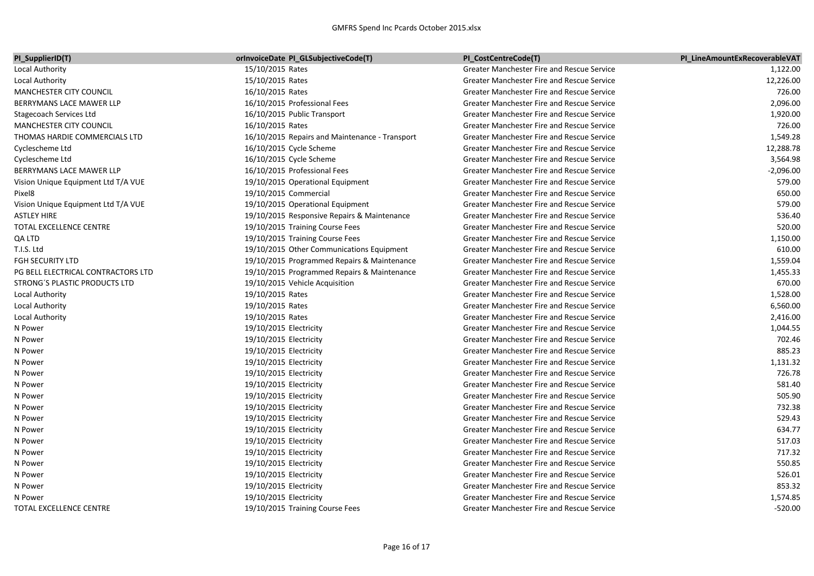## GMFRS Spend Inc Pcards October 2015.xlsx

| PI_SupplierID(T)                    | <b>OrInvoiceDate PI_GLSubjectiveCode(T)</b>    | PI_CostCentreCode(T)                              | PI LineAmountExRecoverableVAT |
|-------------------------------------|------------------------------------------------|---------------------------------------------------|-------------------------------|
| Local Authority                     | 15/10/2015 Rates                               | Greater Manchester Fire and Rescue Service        | 1,122.00                      |
| Local Authority                     | 15/10/2015 Rates                               | Greater Manchester Fire and Rescue Service        | 12,226.00                     |
| MANCHESTER CITY COUNCIL             | 16/10/2015 Rates                               | Greater Manchester Fire and Rescue Service        | 726.00                        |
| BERRYMANS LACE MAWER LLP            | 16/10/2015 Professional Fees                   | Greater Manchester Fire and Rescue Service        | 2,096.00                      |
| <b>Stagecoach Services Ltd</b>      | 16/10/2015 Public Transport                    | <b>Greater Manchester Fire and Rescue Service</b> | 1,920.00                      |
| MANCHESTER CITY COUNCIL             | 16/10/2015 Rates                               | <b>Greater Manchester Fire and Rescue Service</b> | 726.00                        |
| THOMAS HARDIE COMMERCIALS LTD       | 16/10/2015 Repairs and Maintenance - Transport | Greater Manchester Fire and Rescue Service        | 1,549.28                      |
| Cyclescheme Ltd                     | 16/10/2015 Cycle Scheme                        | Greater Manchester Fire and Rescue Service        | 12,288.78                     |
| Cyclescheme Ltd                     | 16/10/2015 Cycle Scheme                        | Greater Manchester Fire and Rescue Service        | 3,564.98                      |
| BERRYMANS LACE MAWER LLP            | 16/10/2015 Professional Fees                   | Greater Manchester Fire and Rescue Service        | $-2,096.00$                   |
| Vision Unique Equipment Ltd T/A VUE | 19/10/2015 Operational Equipment               | <b>Greater Manchester Fire and Rescue Service</b> | 579.00                        |
| Pixel <sub>8</sub>                  | 19/10/2015 Commercial                          | <b>Greater Manchester Fire and Rescue Service</b> | 650.00                        |
| Vision Unique Equipment Ltd T/A VUE | 19/10/2015 Operational Equipment               | <b>Greater Manchester Fire and Rescue Service</b> | 579.00                        |
| <b>ASTLEY HIRE</b>                  | 19/10/2015 Responsive Repairs & Maintenance    | Greater Manchester Fire and Rescue Service        | 536.40                        |
| TOTAL EXCELLENCE CENTRE             | 19/10/2015 Training Course Fees                | Greater Manchester Fire and Rescue Service        | 520.00                        |
| QA LTD                              | 19/10/2015 Training Course Fees                | <b>Greater Manchester Fire and Rescue Service</b> | 1,150.00                      |
| T.I.S. Ltd                          | 19/10/2015 Other Communications Equipment      | Greater Manchester Fire and Rescue Service        | 610.00                        |
| <b>FGH SECURITY LTD</b>             | 19/10/2015 Programmed Repairs & Maintenance    | Greater Manchester Fire and Rescue Service        | 1,559.04                      |
| PG BELL ELECTRICAL CONTRACTORS LTD  | 19/10/2015 Programmed Repairs & Maintenance    | <b>Greater Manchester Fire and Rescue Service</b> | 1,455.33                      |
| STRONG'S PLASTIC PRODUCTS LTD       | 19/10/2015 Vehicle Acquisition                 | <b>Greater Manchester Fire and Rescue Service</b> | 670.00                        |
| Local Authority                     | 19/10/2015 Rates                               | Greater Manchester Fire and Rescue Service        | 1,528.00                      |
| Local Authority                     | 19/10/2015 Rates                               | <b>Greater Manchester Fire and Rescue Service</b> | 6,560.00                      |
| Local Authority                     | 19/10/2015 Rates                               | <b>Greater Manchester Fire and Rescue Service</b> | 2,416.00                      |
| N Power                             | 19/10/2015 Electricity                         | Greater Manchester Fire and Rescue Service        | 1,044.55                      |
| N Power                             | 19/10/2015 Electricity                         | <b>Greater Manchester Fire and Rescue Service</b> | 702.46                        |
| N Power                             | 19/10/2015 Electricity                         | <b>Greater Manchester Fire and Rescue Service</b> | 885.23                        |
| N Power                             | 19/10/2015 Electricity                         | Greater Manchester Fire and Rescue Service        | 1,131.32                      |
| N Power                             | 19/10/2015 Electricity                         | <b>Greater Manchester Fire and Rescue Service</b> | 726.78                        |
| N Power                             | 19/10/2015 Electricity                         | <b>Greater Manchester Fire and Rescue Service</b> | 581.40                        |
| N Power                             | 19/10/2015 Electricity                         | <b>Greater Manchester Fire and Rescue Service</b> | 505.90                        |
| N Power                             | 19/10/2015 Electricity                         | <b>Greater Manchester Fire and Rescue Service</b> | 732.38                        |
| N Power                             | 19/10/2015 Electricity                         | <b>Greater Manchester Fire and Rescue Service</b> | 529.43                        |
| N Power                             | 19/10/2015 Electricity                         | Greater Manchester Fire and Rescue Service        | 634.77                        |
| N Power                             | 19/10/2015 Electricity                         | <b>Greater Manchester Fire and Rescue Service</b> | 517.03                        |
| N Power                             | 19/10/2015 Electricity                         | <b>Greater Manchester Fire and Rescue Service</b> | 717.32                        |
| N Power                             | 19/10/2015 Electricity                         | <b>Greater Manchester Fire and Rescue Service</b> | 550.85                        |
| N Power                             | 19/10/2015 Electricity                         | <b>Greater Manchester Fire and Rescue Service</b> | 526.01                        |
| N Power                             | 19/10/2015 Electricity                         | Greater Manchester Fire and Rescue Service        | 853.32                        |
| N Power                             | 19/10/2015 Electricity                         | Greater Manchester Fire and Rescue Service        | 1,574.85                      |
| TOTAL EXCELLENCE CENTRE             | 19/10/2015 Training Course Fees                | <b>Greater Manchester Fire and Rescue Service</b> | $-520.00$                     |